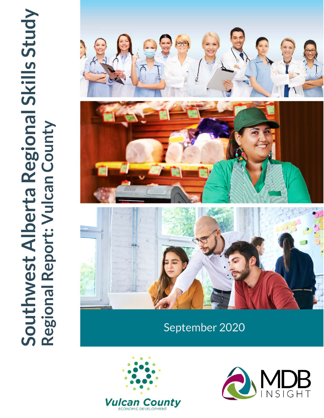

# September 2020



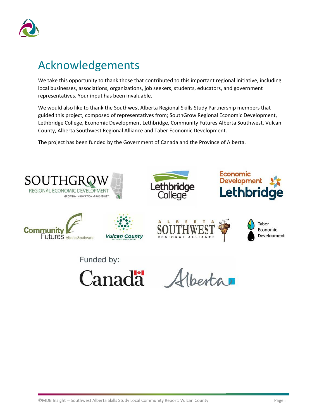

## <span id="page-1-0"></span>Acknowledgements

We take this opportunity to thank those that contributed to this important regional initiative, including local businesses, associations, organizations, job seekers, students, educators, and government representatives. Your input has been invaluable.

We would also like to thank the Southwest Alberta Regional Skills Study Partnership members that guided this project, composed of representatives from; SouthGrow Regional Economic Development, Lethbridge College, Economic Development Lethbridge, Community Futures Alberta Southwest, Vulcan County, Alberta Southwest Regional Alliance and Taber Economic Development.

The project has been funded by the Government of Canada and the Province of Alberta.

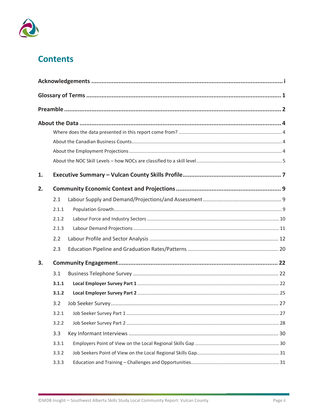

### **Contents**

| 1. |       |      |  |
|----|-------|------|--|
| 2. |       |      |  |
|    | 2.1   |      |  |
|    | 2.1.1 |      |  |
|    | 2.1.2 |      |  |
|    | 2.1.3 |      |  |
|    | 2.2   |      |  |
|    | 2.3   |      |  |
| 3. |       |      |  |
|    | 3.1   |      |  |
|    | 3.1.1 |      |  |
|    | 3.1.2 |      |  |
|    | 3.2   |      |  |
|    |       | . 27 |  |
|    | 3.2.2 |      |  |
|    | 3.3   |      |  |
|    | 3.3.1 |      |  |
|    | 3.3.2 |      |  |
|    | 3.3.3 |      |  |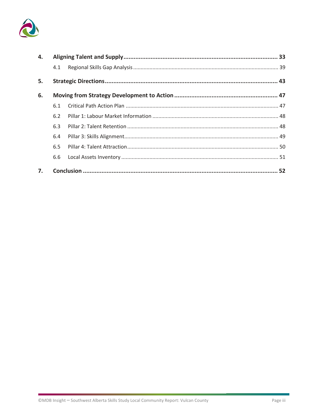

| 4. |     |  |
|----|-----|--|
|    | 4.1 |  |
| 5. |     |  |
| 6. |     |  |
|    | 6.1 |  |
|    | 6.2 |  |
|    | 6.3 |  |
|    | 6.4 |  |
|    | 6.5 |  |
|    | 6.6 |  |
| 7. |     |  |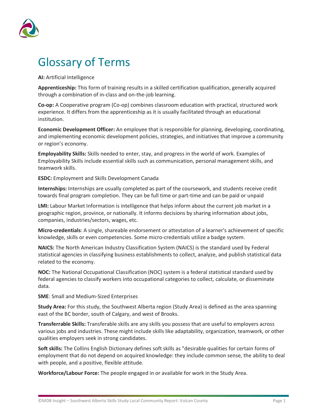

# <span id="page-4-0"></span>Glossary of Terms

**AI:** Artificial Intelligence

**Apprenticeship:** This form of training results in a skilled certification qualification, generally acquired through a combination of in-class and on-the-job learning.

**Co-op:** A Cooperative program (Co-op) combines classroom education with practical, structured work experience. It differs from the apprenticeship as it is usually facilitated through an educational institution.

**Economic Development Officer:** An employee that is responsible for planning, developing, coordinating, and implementing economic development policies, strategies, and initiatives that improve a community or region's economy.

**Employability Skills:** Skills needed to enter, stay, and progress in the world of work. Examples of Employability Skills include essential skills such as communication, personal management skills, and teamwork skills.

**ESDC:** Employment and Skills Development Canada

**Internships:** Internships are usually completed as part of the coursework, and students receive credit towards final program completion. They can be full time or part-time and can be paid or unpaid

**LMI:** Labour Market Information is intelligence that helps inform about the current job market in a geographic region, province, or nationally. It informs decisions by sharing information about jobs, companies, industries/sectors, wages, etc.

**Micro-credentials**: A single, shareable endorsement or attestation of a learner's achievement of specific knowledge, skills or even competencies. Some micro-credentials utilize a badge system.

**NAICS:** The North American Industry Classification System (NAICS) is the standard used by Federal statistical agencies in classifying business establishments to collect, analyze, and publish statistical data related to the economy.

**NOC:** The National Occupational Classification (NOC) system is a federal statistical standard used by federal agencies to classify workers into occupational categories to collect, calculate, or disseminate data.

**SME**: Small and Medium-Sized Enterprises

**Study Area:** For this study, the Southwest Alberta region (Study Area) is defined as the area spanning east of the BC border, south of Calgary, and west of Brooks.

**Transferrable Skills:** Transferable skills are any skills you possess that are useful to employers across various jobs and industries. These might include skills like adaptability, organization, teamwork, or other qualities employers seek in strong candidates.

**Soft skills:** The Collins English Dictionary defines soft skills as "desirable qualities for certain forms of employment that do not depend on acquired knowledge: they include common sense, the ability to deal with people, and a positive, flexible attitude.

**Workforce/Labour Force:** The people engaged in or available for work in the Study Area.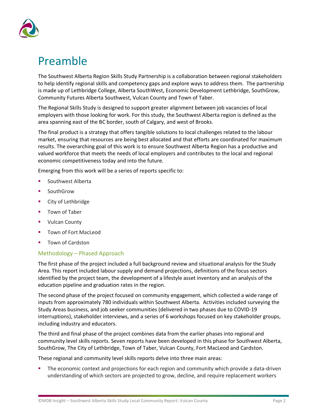

## <span id="page-5-0"></span>Preamble

The Southwest Alberta Region Skills Study Partnership is a collaboration between regional stakeholders to help identify regional skills and competency gaps and explore ways to address them. The partnership is made up of Lethbridge College, Alberta SouthWest, Economic Development Lethbridge, SouthGrow, Community Futures Alberta Southwest, Vulcan County and Town of Taber.

The Regional Skills Study is designed to support greater alignment between job vacancies of local employers with those looking for work. For this study, the Southwest Alberta region is defined as the area spanning east of the BC border, south of Calgary, and west of Brooks.

The final product is a strategy that offers tangible solutions to local challenges related to the labour market, ensuring that resources are being best allocated and that efforts are coordinated for maximum results. The overarching goal of this work is to ensure Southwest Alberta Region has a productive and valued workforce that meets the needs of local employers and contributes to the local and regional economic competitiveness today and into the future.

Emerging from this work will be a series of reports specific to:

- Southwest Alberta
- SouthGrow
- City of Lethbridge
- Town of Taber
- Vulcan County
- Town of Fort MacLeod
- Town of Cardston

#### Methodology – Phased Approach

The first phase of the project included a full background review and situational analysis for the Study Area. This report included labour supply and demand projections, definitions of the focus sectors identified by the project team, the development of a lifestyle asset inventory and an analysis of the education pipeline and graduation rates in the region.

The second phase of the project focused on community engagement, which collected a wide range of inputs from approximately 780 individuals within Southwest Alberta. Activities included surveying the Study Areas business, and job seeker communities (delivered in two phases due to COVID-19 interruptions), stakeholder interviews, and a series of 6 workshops focused on key stakeholder groups, including industry and educators.

The third and final phase of the project combines data from the earlier phases into regional and community level skills reports. Seven reports have been developed in this phase for Southwest Alberta, SouthGrow, The City of Lethbridge, Town of Taber, Vulcan County, Fort MacLeod and Cardston.

These regional and community level skills reports delve into three main areas:

 The economic context and projections for each region and community which provide a data-driven understanding of which sectors are projected to grow, decline, and require replacement workers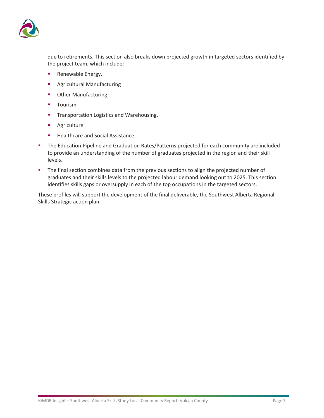

due to retirements. This section also breaks down projected growth in targeted sectors identified by the project team, which include:

- **Renewable Energy,**
- **Agricultural Manufacturing**
- **•** Other Manufacturing
- **Tourism**
- **Transportation Logistics and Warehousing,**
- **Agriculture**
- **Healthcare and Social Assistance**
- The Education Pipeline and Graduation Rates/Patterns projected for each community are included to provide an understanding of the number of graduates projected in the region and their skill levels.
- The final section combines data from the previous sections to align the projected number of graduates and their skills levels to the projected labour demand looking out to 2025. This section identifies skills gaps or oversupply in each of the top occupations in the targeted sectors.

These profiles will support the development of the final deliverable, the Southwest Alberta Regional Skills Strategic action plan.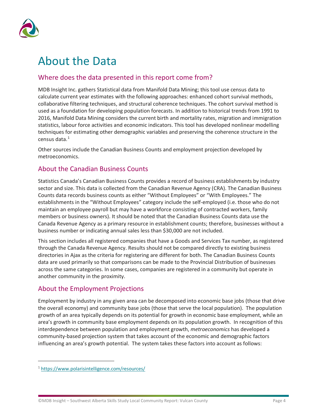

## <span id="page-7-0"></span>About the Data

#### <span id="page-7-1"></span>Where does the data presented in this report come from?

MDB Insight Inc. gathers Statistical data from Manifold Data Mining; this tool use census data to calculate current year estimates with the following approaches: enhanced cohort survival methods, collaborative filtering techniques, and structural coherence techniques. The cohort survival method is used as a foundation for developing population forecasts. In addition to historical trends from 1991 to 2016, Manifold Data Mining considers the current birth and mortality rates, migration and immigration statistics, labour force activities and economic indicators. This tool has developed nonlinear modelling techniques for estimating other demographic variables and preserving the coherence structure in the census data.<sup>[1](#page-7-4)</sup>

Other sources include the Canadian Business Counts and employment projection developed by metroeconomics.

#### <span id="page-7-2"></span>About the Canadian Business Counts

Statistics Canada's Canadian Business Counts provides a record of business establishments by industry sector and size. This data is collected from the Canadian Revenue Agency (CRA). The Canadian Business Counts data records business counts as either "Without Employees" or "With Employees." The establishments in the "Without Employees" category include the self-employed (i.e. those who do not maintain an employee payroll but may have a workforce consisting of contracted workers, family members or business owners). It should be noted that the Canadian Business Counts data use the Canada Revenue Agency as a primary resource in establishment counts; therefore, businesses without a business number or indicating annual sales less than \$30,000 are not included.

This section includes all registered companies that have a Goods and Services Tax number, as registered through the Canada Revenue Agency. Results should not be compared directly to existing business directories in Ajax as the criteria for registering are different for both. The Canadian Business Counts data are used primarily so that comparisons can be made to the Provincial Distribution of businesses across the same categories. In some cases, companies are registered in a community but operate in another community in the proximity.

#### <span id="page-7-3"></span>About the Employment Projections

Employment by industry in any given area can be decomposed into economic base jobs (those that drive the overall economy) and community base jobs (those that serve the local population). The population growth of an area typically depends on its potential for growth in economic base employment, while an area's growth in community base employment depends on its population growth. In recognition of this interdependence between population and employment growth, *metroeconomics* has developed a community-based projection system that takes account of the economic and demographic factors influencing an area's growth potential. The system takes these factors into account as follows:

<span id="page-7-4"></span><sup>1</sup> <https://www.polarisintelligence.com/resources/>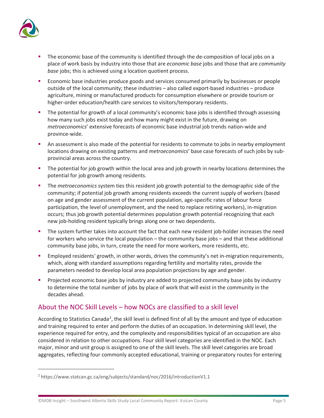

- The economic base of the community is identified through the de-composition of local jobs on a place of work basis by industry into those that are *economic base* jobs and those that are *community base* jobs; this is achieved using a location quotient process.
- **Economic base industries produce goods and services consumed primarily by businesses or people** outside of the local community; these industries – also called export-based industries – produce agriculture, mining or manufactured products for consumption elsewhere or provide tourism or higher-order education/health care services to visitors/temporary residents.
- The potential for growth of a local community's economic base jobs is identified through assessing how many such jobs exist today and how many might exist in the future, drawing on *metroeconomics*' extensive forecasts of economic base industrial job trends nation-wide and province-wide.
- An assessment is also made of the potential for residents to commute to jobs in nearby employment locations drawing on existing patterns and *metroeconomics*' base case forecasts of such jobs by subprovincial areas across the country.
- The potential for job growth within the local area and job growth in nearby locations determines the potential for job growth among residents.
- The *metroeconomics* system ties this resident job growth potential to the demographic side of the community; if potential job growth among residents exceeds the current supply of workers (based on age and gender assessment of the current population, age-specific rates of labour force participation, the level of unemployment, and the need to replace retiring workers), in-migration occurs; thus job growth potential determines population growth potential recognizing that each new job-holding resident typically brings along one or two dependents.
- The system further takes into account the fact that each new resident job-holder increases the need for workers who service the local population – the community base jobs – and that these additional community base jobs, in turn, create the need for more workers, more residents, etc.
- Employed residents' growth, in other words, drives the community's net in-migration requirements, which, along with standard assumptions regarding fertility and mortality rates, provide the parameters needed to develop local area population projections by age and gender.
- **Projected economic base jobs by industry are added to projected community base jobs by industry** to determine the total number of jobs by place of work that will exist in the community in the decades ahead.

#### <span id="page-8-0"></span>About the NOC Skill Levels – how NOCs are classified to a skill level

According to Statistics Canada<sup>[2](#page-8-1)</sup>, the skill level is defined first of all by the amount and type of education and training required to enter and perform the duties of an occupation. In determining skill level, the experience required for entry, and the complexity and responsibilities typical of an occupation are also considered in relation to other occupations. Four skill level categories are identified in the NOC. Each major, minor and unit group is assigned to one of the skill levels. The skill level categories are broad aggregates, reflecting four commonly accepted educational, training or preparatory routes for entering

<span id="page-8-1"></span><sup>2</sup> https://www.statcan.gc.ca/eng/subjects/standard/noc/2016/introductionV1.1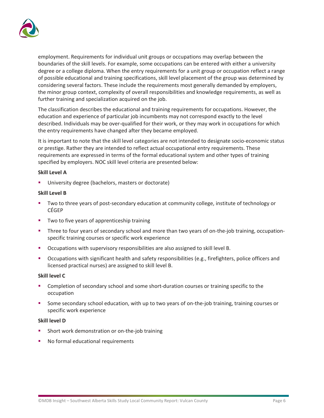

employment. Requirements for individual unit groups or occupations may overlap between the boundaries of the skill levels. For example, some occupations can be entered with either a university degree or a college diploma. When the entry requirements for a unit group or occupation reflect a range of possible educational and training specifications, skill level placement of the group was determined by considering several factors. These include the requirements most generally demanded by employers, the minor group context, complexity of overall responsibilities and knowledge requirements, as well as further training and specialization acquired on the job.

The classification describes the educational and training requirements for occupations. However, the education and experience of particular job incumbents may not correspond exactly to the level described. Individuals may be over-qualified for their work, or they may work in occupations for which the entry requirements have changed after they became employed.

It is important to note that the skill level categories are not intended to designate socio-economic status or prestige. Rather they are intended to reflect actual occupational entry requirements. These requirements are expressed in terms of the formal educational system and other types of training specified by employers. NOC skill level criteria are presented below:

#### **Skill Level A**

University degree (bachelors, masters or doctorate)

#### **Skill Level B**

- Two to three years of post-secondary education at community college, institute of technology or CÉGEP
- Two to five years of apprenticeship training
- Three to four years of secondary school and more than two years of on-the-job training, occupationspecific training courses or specific work experience
- **C**Ccupations with supervisory responsibilities are also assigned to skill level B.
- Occupations with significant health and safety responsibilities (e.g., firefighters, police officers and licensed practical nurses) are assigned to skill level B.

#### **Skill level C**

- Completion of secondary school and some short-duration courses or training specific to the occupation
- Some secondary school education, with up to two years of on-the-job training, training courses or specific work experience

#### **Skill level D**

- Short work demonstration or on-the-job training
- No formal educational requirements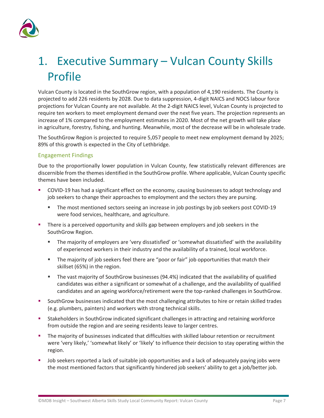

# <span id="page-10-0"></span>1. Executive Summary – Vulcan County Skills Profile

Vulcan County is located in the SouthGrow region, with a population of 4,190 residents. The County is projected to add 226 residents by 2028. Due to data suppression, 4-digit NAICS and NOCS labour force projections for Vulcan County are not available. At the 2-digit NAICS level, Vulcan County is projected to require ten workers to meet employment demand over the next five years. The projection represents an increase of 1% compared to the employment estimates in 2020. Most of the net growth will take place in agriculture, forestry, fishing, and hunting. Meanwhile, most of the decrease will be in wholesale trade.

The SouthGrow Region is projected to require 5,057 people to meet new employment demand by 2025; 89% of this growth is expected in the City of Lethbridge.

#### Engagement Findings

Due to the proportionally lower population in Vulcan County, few statistically relevant differences are discernible from the themes identified in the SouthGrow profile. Where applicable, Vulcan County specific themes have been included.

- COVID-19 has had a significant effect on the economy, causing businesses to adopt technology and job seekers to change their approaches to employment and the sectors they are pursing.
	- The most mentioned sectors seeing an increase in job postings by job seekers post COVID-19 were food services, healthcare, and agriculture.
- There is a perceived opportunity and skills gap between employers and job seekers in the SouthGrow Region.
	- The majority of employers are 'very dissatisfied' or 'somewhat dissatisfied' with the availability of experienced workers in their industry and the availability of a trained, local workforce.
	- **The majority of job seekers feel there are "poor or fair" job opportunities that match their** skillset (65%) in the region.
	- The vast majority of SouthGrow businesses (94.4%) indicated that the availability of qualified candidates was either a significant or somewhat of a challenge, and the availability of qualified candidates and an ageing workforce/retirement were the top-ranked challenges in SouthGrow.
- SouthGrow businesses indicated that the most challenging attributes to hire or retain skilled trades (e.g. plumbers, painters) and workers with strong technical skills.
- Stakeholders in SouthGrow indicated significant challenges in attracting and retaining workforce from outside the region and are seeing residents leave to larger centres.
- The majority of businesses indicated that difficulties with skilled labour retention or recruitment were 'very likely,' 'somewhat likely' or 'likely' to influence their decision to stay operating within the region.
- Job seekers reported a lack of suitable job opportunities and a lack of adequately paying jobs were the most mentioned factors that significantly hindered job seekers' ability to get a job/better job.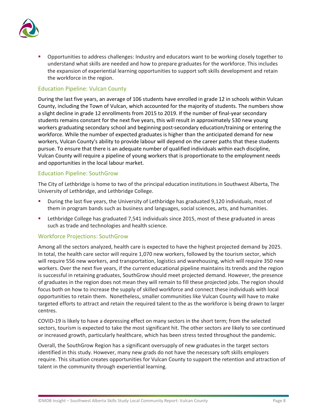

 Opportunities to address challenges: Industry and educators want to be working closely together to understand what skills are needed and how to prepare graduates for the workforce. This includes the expansion of experiential learning opportunities to support soft skills development and retain the workforce in the region.

#### Education Pipeline: Vulcan County

During the last five years, an average of 106 students have enrolled in grade 12 in schools within Vulcan County, including the Town of Vulcan, which accounted for the majority of students. The numbers show a slight decline in grade 12 enrollments from 2015 to 2019. If the number of final-year secondary students remains constant for the next five years, this will result in approximately 530 new young workers graduating secondary school and beginning post-secondary education/training or entering the workforce. While the number of expected graduates is higher than the anticipated demand for new workers, Vulcan County's ability to provide labour will depend on the career paths that these students pursue. To ensure that there is an adequate number of qualified individuals within each discipline, Vulcan County will require a pipeline of young workers that is proportionate to the employment needs and opportunities in the local labour market.

#### Education Pipeline: SouthGrow

The City of Lethbridge is home to two of the principal education institutions in Southwest Alberta, The University of Lethbridge, and Lethbridge College.

- During the last five years, the University of Lethbridge has graduated 9,120 individuals, most of them in program bands such as business and languages, social sciences, arts, and humanities.
- Lethbridge College has graduated 7,541 individuals since 2015, most of these graduated in areas such as trade and technologies and health science.

#### Workforce Projections: SouthGrow

Among all the sectors analyzed, health care is expected to have the highest projected demand by 2025. In total, the health care sector will require 1,070 new workers, followed by the tourism sector, which will require 556 new workers, and transportation, logistics and warehousing, which will require 350 new workers. Over the next five years, if the current educational pipeline maintains its trends and the region is successful in retaining graduates, SouthGrow should meet projected demand. However, the presence of graduates in the region does not mean they will remain to fill these projected jobs. The region should focus both on how to increase the supply of skilled workforce and connect these individuals with local opportunities to retain them. Nonetheless, smaller communities like Vulcan County will have to make targeted efforts to attract and retain the required talent to the as the workforce is being drawn to larger centres.

COVID-19 is likely to have a depressing effect on many sectors in the short term; from the selected sectors, tourism is expected to take the most significant hit. The other sectors are likely to see continued or increased growth, particularly healthcare, which has been stress tested throughout the pandemic.

Overall, the SouthGrow Region has a significant oversupply of new graduates in the target sectors identified in this study. However, many new grads do not have the necessary soft skills employers require. This situation creates opportunities for Vulcan County to support the retention and attraction of talent in the community through experiential learning.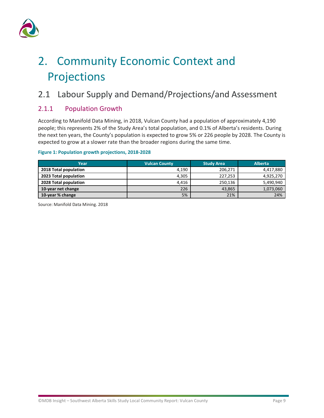

# <span id="page-12-0"></span>2. Community Economic Context and Projections

### <span id="page-12-1"></span>2.1 Labour Supply and Demand/Projections/and Assessment

#### <span id="page-12-2"></span>2.1.1 Population Growth

According to Manifold Data Mining, in 2018, Vulcan County had a population of approximately 4,190 people; this represents 2% of the Study Area's total population, and 0.1% of Alberta's residents. During the next ten years, the County's population is expected to grow 5% or 226 people by 2028. The County is expected to grow at a slower rate than the broader regions during the same time.

#### **Figure 1: Population growth projections, 2018-2028**

| Year                  | <b>Vulcan County</b> | <b>Study Area</b> | <b>Alberta</b> |
|-----------------------|----------------------|-------------------|----------------|
| 2018 Total population | 4,190                | 206.271           | 4,417,880      |
| 2023 Total population | 4,305                | 227,253           | 4,925,270      |
| 2028 Total population | 4,416                | 250,136           | 5,490,940      |
| 10-year net change    | 226                  | 43,865            | 1,073,060      |
| 10-year % change      | 5%                   | 21%               | 24%            |

Source: Manifold Data Mining. 2018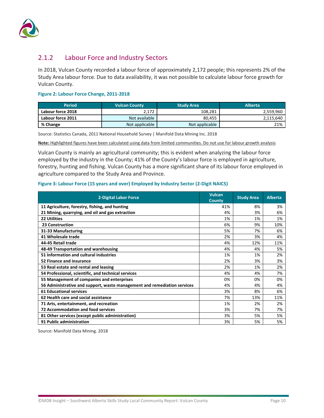

#### <span id="page-13-0"></span>2.1.2 Labour Force and Industry Sectors

In 2018, Vulcan County recorded a labour force of approximately 2,172 people; this represents 2% of the Study Area labour force. Due to data availability, it was not possible to calculate labour force growth for Vulcan County.

#### **Figure 2: Labour Force Change, 2011-2018**

| <b>Period</b>     | <b>Vulcan County</b> | <b>Study Area</b> | <b>Alberta</b> |
|-------------------|----------------------|-------------------|----------------|
| Labour force 2018 | 2,172                | 108,281           | 2,559,960      |
| Labour force 2011 | Not available        | 80.455            | 2,115,640      |
| % Change          | Not applicable       | Not applicable    | 21%            |

Source: Statistics Canada, 2011 National Household Survey | Manifold Data Mining Inc. 2018

**Note:** Highlighted figures have been calculated using data from limited communities. Do not use for labour growth analysis

Vulcan County is mainly an agricultural community; this is evident when analyzing the labour force employed by the industry in the County; 41% of the County's labour force is employed in agriculture, forestry, hunting and fishing. Vulcan County has a more significant share of its labour force employed in agriculture compared to the Study Area and Province.

#### **Figure 3: Labour Force (15 years and over) Employed by Industry Sector (2-Digit NAICS)**

| 2-Digital Labor Force                                                    | <b>Vulcan</b><br><b>County</b> | <b>Study Area</b> | <b>Alberta</b> |
|--------------------------------------------------------------------------|--------------------------------|-------------------|----------------|
| 11 Agriculture, forestry, fishing, and hunting                           | 41%                            | 8%                | 3%             |
| 21 Mining, quarrying, and oil and gas extraction                         | 4%                             | 3%                | 6%             |
| <b>22 Utilities</b>                                                      | 1%                             | 1%                | 1%             |
| 23 Construction                                                          | 6%                             | 9%                | 10%            |
| 31-33 Manufacturing                                                      | 5%                             | 7%                | 6%             |
| 41 Wholesale trade                                                       | 2%                             | 3%                | 4%             |
| 44-45 Retail trade                                                       | 4%                             | 12%               | 11%            |
| 48-49 Transportation and warehousing                                     | 4%                             | 4%                | 5%             |
| 51 Information and cultural industries                                   | 1%                             | 1%                | 2%             |
| 52 Finance and insurance                                                 | 2%                             | 3%                | 3%             |
| 53 Real estate and rental and leasing                                    | 2%                             | 1%                | 2%             |
| 54 Professional, scientific, and technical services                      | 4%                             | 4%                | 7%             |
| 55 Management of companies and enterprises                               | 0%                             | 0%                | 0%             |
| 56 Administrative and support, waste management and remediation services | 4%                             | 4%                | 4%             |
| <b>61 Educational services</b>                                           | 3%                             | 8%                | 6%             |
| 62 Health care and social assistance                                     | 7%                             | 13%               | 11%            |
| 71 Arts, entertainment, and recreation                                   | 1%                             | 2%                | 2%             |
| <b>72 Accommodation and food services</b>                                | 3%                             | 7%                | 7%             |
| 81 Other services (except public administration)                         | 3%                             | 5%                | 5%             |
| 91 Public administration                                                 | 3%                             | 5%                | 5%             |

Source: Manifold Data Mining. 2018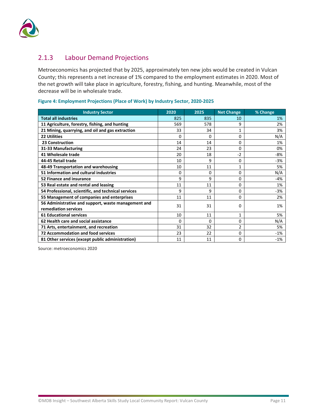

#### <span id="page-14-0"></span>2.1.3 Labour Demand Projections

Metroeconomics has projected that by 2025, approximately ten new jobs would be created in Vulcan County; this represents a net increase of 1% compared to the employment estimates in 2020. Most of the net growth will take place in agriculture, forestry, fishing, and hunting. Meanwhile, most of the decrease will be in wholesale trade.

| <b>Industry Sector</b>                                                      | 2020 | 2025         | <b>Net Change</b> | % Change |
|-----------------------------------------------------------------------------|------|--------------|-------------------|----------|
| <b>Total all industries</b>                                                 | 825  | 835          | 10                | 1%       |
| 11 Agriculture, forestry, fishing, and hunting                              | 569  | 578          | 9                 | 2%       |
| 21 Mining, quarrying, and oil and gas extraction                            | 33   | 34           | 1                 | 3%       |
| <b>22 Utilities</b>                                                         | 0    | <sup>0</sup> | 0                 | N/A      |
| <b>23 Construction</b>                                                      | 14   | 14           | 0                 | 1%       |
| 31-33 Manufacturing                                                         | 24   | 23           | O                 | 0%       |
| 41 Wholesale trade                                                          | 20   | 18           | $-2$              | $-8%$    |
| 44-45 Retail trade                                                          | 10   | 9            | 0                 | $-3%$    |
| 48-49 Transportation and warehousing                                        | 10   | 11           | 1                 | 5%       |
| 51 Information and cultural industries                                      | 0    | 0            | 0                 | N/A      |
| 52 Finance and insurance                                                    | 9    | 9            | 0                 | -4%      |
| 53 Real estate and rental and leasing                                       | 11   | 11           | 0                 | 1%       |
| 54 Professional, scientific, and technical services                         | 9    | 9            | 0                 | -3%      |
| 55 Management of companies and enterprises                                  | 11   | 11           | 0                 | 2%       |
| 56 Administrative and support, waste management and<br>remediation services | 31   | 31           | 0                 | 1%       |
| <b>61 Educational services</b>                                              | 10   | 11           | 1                 | 5%       |
| 62 Health care and social assistance                                        | 0    | $\Omega$     | 0                 | N/A      |
| 71 Arts, entertainment, and recreation                                      | 31   | 32           | 2                 | 5%       |
| <b>72 Accommodation and food services</b>                                   | 23   | 22           | 0                 | $-1%$    |
| 81 Other services (except public administration)                            | 11   | 11           | 0                 | $-1%$    |

#### **Figure 4: Employment Projections (Place of Work) by Industry Sector, 2020-2025**

Source: metroeconomics 2020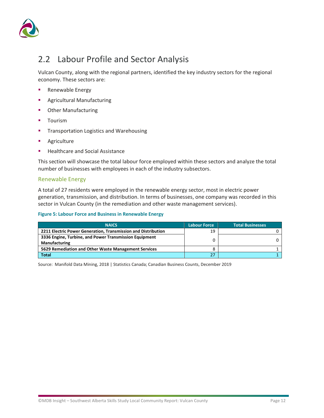

### <span id="page-15-0"></span>2.2 Labour Profile and Sector Analysis

Vulcan County, along with the regional partners, identified the key industry sectors for the regional economy. These sectors are:

- **Renewable Energy**
- **Agricultural Manufacturing**
- **•** Other Manufacturing
- **Tourism**
- **Transportation Logistics and Warehousing**
- **Agriculture**
- **Healthcare and Social Assistance**

This section will showcase the total labour force employed within these sectors and analyze the total number of businesses with employees in each of the industry subsectors.

#### Renewable Energy

A total of 27 residents were employed in the renewable energy sector, most in electric power generation, transmission, and distribution. In terms of businesses, one company was recorded in this sector in Vulcan County (in the remediation and other waste management services).

#### **Figure 5: Labour Force and Business in Renewable Energy**

| <b>NAICS</b>                                                            | <b>Labour Force</b> | <b>Total Businesses</b> |
|-------------------------------------------------------------------------|---------------------|-------------------------|
| 2211 Electric Power Generation, Transmission and Distribution           | 19                  |                         |
| 3336 Engine, Turbine, and Power Transmission Equipment<br>Manufacturing |                     |                         |
| 5629 Remediation and Other Waste Management Services                    | 8                   |                         |
| <b>Total</b>                                                            |                     |                         |

Source: Manifold Data Mining, 2018 | Statistics Canada; Canadian Business Counts, December 2019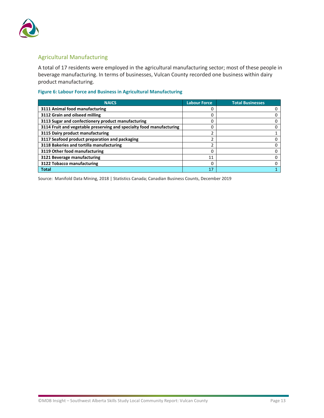

#### Agricultural Manufacturing

A total of 17 residents were employed in the agricultural manufacturing sector; most of these people in beverage manufacturing. In terms of businesses, Vulcan County recorded one business within dairy product manufacturing.

#### **Figure 6: Labour Force and Business in Agricultural Manufacturing**

| <b>NAICS</b>                                                         | <b>Labour Force</b> | <b>Total Businesses</b> |
|----------------------------------------------------------------------|---------------------|-------------------------|
| 3111 Animal food manufacturing                                       |                     |                         |
| 3112 Grain and oilseed milling                                       | 0                   |                         |
| 3113 Sugar and confectionery product manufacturing                   | o                   |                         |
| 3114 Fruit and vegetable preserving and specialty food manufacturing | 0                   |                         |
| 3115 Dairy product manufacturing                                     |                     |                         |
| 3117 Seafood product preparation and packaging                       |                     |                         |
| 3118 Bakeries and tortilla manufacturing                             |                     |                         |
| 3119 Other food manufacturing                                        |                     |                         |
| 3121 Beverage manufacturing                                          | 11                  |                         |
| 3122 Tobacco manufacturing                                           |                     |                         |
| <b>Total</b>                                                         | 17                  |                         |

Source: Manifold Data Mining, 2018 | Statistics Canada; Canadian Business Counts, December 2019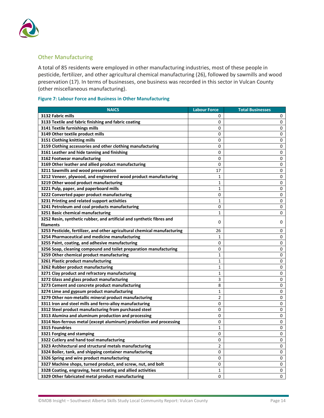

#### Other Manufacturing

A total of 85 residents were employed in other manufacturing industries, most of these people in pesticide, fertilizer, and other agricultural chemical manufacturing (26), followed by sawmills and wood preservation (17). In terms of businesses, one business was recorded in this sector in Vulcan County (other miscellaneous manufacturing).

#### **Figure 7: Labour Force and Business in Other Manufacturing**

| <b>NAICS</b>                                                              | <b>Labour Force</b> | <b>Total Businesses</b> |
|---------------------------------------------------------------------------|---------------------|-------------------------|
| 3132 Fabric mills                                                         | 0                   | 0                       |
| 3133 Textile and fabric finishing and fabric coating                      | 0                   | 0                       |
| 3141 Textile furnishings mills                                            | 0                   | 0                       |
| 3149 Other textile product mills                                          | 0                   | 0                       |
| 3151 Clothing knitting mills                                              | 0                   | 0                       |
| 3159 Clothing accessories and other clothing manufacturing                | 0                   | 0                       |
| 3161 Leather and hide tanning and finishing                               | 0                   | 0                       |
| 3162 Footwear manufacturing                                               | 0                   | 0                       |
| 3169 Other leather and allied product manufacturing                       | 0                   | 0                       |
| 3211 Sawmills and wood preservation                                       | 17                  | 0                       |
| 3212 Veneer, plywood, and engineered wood product manufacturing           | $\mathbf{1}$        | 0                       |
| 3219 Other wood product manufacturing                                     | $\mathbf{1}$        | 0                       |
| 3221 Pulp, paper, and paperboard mills                                    | $\mathbf{1}$        | 0                       |
| 3222 Converted paper product manufacturing                                | 0                   | 0                       |
| 3231 Printing and related support activities                              | $\mathbf{1}$        | 0                       |
| 3241 Petroleum and coal products manufacturing                            | 0                   | 0                       |
| 3251 Basic chemical manufacturing                                         | $\mathbf{1}$        | 0                       |
| 3252 Resin, synthetic rubber, and artificial and synthetic fibres and     | 0                   | 0                       |
| filaments                                                                 |                     |                         |
| 3253 Pesticide, fertilizer, and other agricultural chemical manufacturing | 26                  | 0                       |
| 3254 Pharmaceutical and medicine manufacturing                            | $\mathbf{1}$        | 0                       |
| 3255 Paint, coating, and adhesive manufacturing                           | 0                   | 0                       |
| 3256 Soap, cleaning compound and toilet preparation manufacturing         | 0                   | 0                       |
| 3259 Other chemical product manufacturing                                 | $\mathbf{1}$        | 0                       |
| 3261 Plastic product manufacturing                                        | $\mathbf{1}$        | 0                       |
| 3262 Rubber product manufacturing                                         | 1                   | 0                       |
| 3271 Clay product and refractory manufacturing                            | $\mathbf{1}$        | 0                       |
| 3272 Glass and glass product manufacturing                                | 3                   | 0                       |
| 3273 Cement and concrete product manufacturing                            | 8                   | 0                       |
| 3274 Lime and gypsum product manufacturing                                | $\mathbf{1}$        | 0                       |
| 3279 Other non-metallic mineral product manufacturing                     | $\overline{2}$      | 0                       |
| 3311 Iron and steel mills and ferro-alloy manufacturing                   | 0                   | 0                       |
| 3312 Steel product manufacturing from purchased steel                     | 0                   | 0                       |
| 3313 Alumina and aluminum production and processing                       | 0                   | 0                       |
| 3314 Non-ferrous metal (except aluminum) production and processing        | 0                   | 0                       |
| 3315 Foundries                                                            | $\mathbf{1}$        | 0                       |
| 3321 Forging and stamping                                                 | 0                   | 0                       |
| 3322 Cutlery and hand tool manufacturing                                  | 0                   | 0                       |
| 3323 Architectural and structural metals manufacturing                    | 2                   | 0                       |
| 3324 Boiler, tank, and shipping container manufacturing                   | 0                   | 0                       |
| 3326 Spring and wire product manufacturing                                | 0                   | 0                       |
| 3327 Machine shops, turned product, and screw, nut, and bolt              | 0                   | 0                       |
| 3328 Coating, engraving, heat treating and allied activities              | $\mathbf{1}$        | 0                       |
| 3329 Other fabricated metal product manufacturing                         | 0                   | $\Omega$                |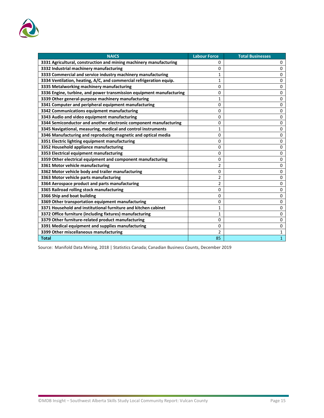

| <b>NAICS</b>                                                         | <b>Labour Force</b> | <b>Total Businesses</b> |
|----------------------------------------------------------------------|---------------------|-------------------------|
| 3331 Agricultural, construction and mining machinery manufacturing   | 0                   | 0                       |
| 3332 Industrial machinery manufacturing                              | 0                   | 0                       |
| 3333 Commercial and service industry machinery manufacturing         | $\mathbf{1}$        | 0                       |
| 3334 Ventilation, heating, A/C, and commercial refrigeration equip.  | $\mathbf{1}$        | 0                       |
| 3335 Metalworking machinery manufacturing                            | 0                   | 0                       |
| 3336 Engine, turbine, and power transmission equipment manufacturing | 0                   | 0                       |
| 3339 Other general-purpose machinery manufacturing                   | 1                   | 0                       |
| 3341 Computer and peripheral equipment manufacturing                 | 0                   | 0                       |
| 3342 Communications equipment manufacturing                          | 0                   | 0                       |
| 3343 Audio and video equipment manufacturing                         | 0                   | 0                       |
| 3344 Semiconductor and another electronic component manufacturing    | 0                   | 0                       |
| 3345 Navigational, measuring, medical and control instruments        | 1                   | 0                       |
| 3346 Manufacturing and reproducing magnetic and optical media        | 0                   | 0                       |
| 3351 Electric lighting equipment manufacturing                       | 0                   | 0                       |
| 3352 Household appliance manufacturing                               | 0                   | 0                       |
| 3353 Electrical equipment manufacturing                              | 0                   | 0                       |
| 3359 Other electrical equipment and component manufacturing          | 0                   | 0                       |
| 3361 Motor vehicle manufacturing                                     | 2                   | 0                       |
| 3362 Motor vehicle body and trailer manufacturing                    | 0                   | 0                       |
| 3363 Motor vehicle parts manufacturing                               | 2                   | 0                       |
| 3364 Aerospace product and parts manufacturing                       | 2                   | 0                       |
| 3365 Railroad rolling stock manufacturing                            | 0                   | 0                       |
| 3366 Ship and boat building                                          | 0                   | 0                       |
| 3369 Other transportation equipment manufacturing                    | 0                   | 0                       |
| 3371 Household and institutional furniture and kitchen cabinet       | 1                   | 0                       |
| 3372 Office furniture (including fixtures) manufacturing             | 1                   | 0                       |
| 3379 Other furniture-related product manufacturing                   | 0                   | 0                       |
| 3391 Medical equipment and supplies manufacturing                    | 0                   | 0                       |
| 3399 Other miscellaneous manufacturing                               | $\overline{2}$      | $\mathbf{1}$            |
| <b>Total</b>                                                         | 85                  | $\mathbf{1}$            |

Source: Manifold Data Mining, 2018 | Statistics Canada; Canadian Business Counts, December 2019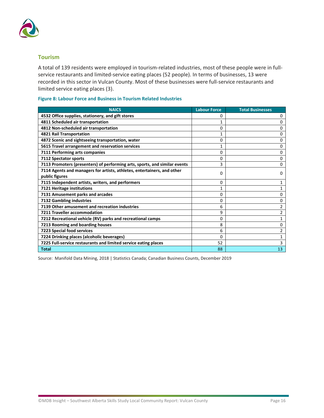

#### **Tourism**

A total of 139 residents were employed in tourism-related industries, most of these people were in fullservice restaurants and limited-service eating places (52 people). In terms of businesses, 13 were recorded in this sector in Vulcan County. Most of these businesses were full-service restaurants and limited service eating places (3).

#### **Figure 8: Labour Force and Business in Tourism Related Industries**

| <b>NAICS</b>                                                               | <b>Labour Force</b> | <b>Total Businesses</b> |
|----------------------------------------------------------------------------|---------------------|-------------------------|
| 4532 Office supplies, stationery, and gift stores                          | 0                   | 0                       |
| 4811 Scheduled air transportation                                          |                     | 0                       |
| 4812 Non-scheduled air transportation                                      | 0                   | 0                       |
| 4821 Rail Transportation                                                   | 1                   | 0                       |
| 4872 Scenic and sightseeing transportation, water                          | 0                   | 0                       |
| 5615 Travel arrangement and reservation services                           | 1                   | 0                       |
| 7111 Performing arts companies                                             | 0                   | 0                       |
| 7112 Spectator sports                                                      | 0                   | 0                       |
| 7113 Promoters (presenters) of performing arts, sports, and similar events | 3                   | 0                       |
| 7114 Agents and managers for artists, athletes, entertainers, and other    | 0                   | 0                       |
| public figures                                                             |                     |                         |
| 7115 Independent artists, writers, and performers                          | 0                   | 1                       |
| 7121 Heritage institutions                                                 |                     |                         |
| 7131 Amusement parks and arcades                                           | 0                   | 0                       |
| 7132 Gambling industries                                                   | 0                   | 0                       |
| 7139 Other amusement and recreation industries                             | 6                   | 2                       |
| 7211 Traveller accommodation                                               | 9                   | $\overline{2}$          |
| 7212 Recreational vehicle (RV) parks and recreational camps                | 0                   | 1                       |
| 7213 Rooming and boarding houses                                           | 8                   | 0                       |
| 7223 Special food services                                                 | 6                   | 2                       |
| 7224 Drinking places (alcoholic beverages)                                 | 0                   | 1                       |
| 7225 Full-service restaurants and limited service eating places            | 52                  | 3                       |
| <b>Total</b>                                                               | 88                  | 13                      |

Source: Manifold Data Mining, 2018 | Statistics Canada; Canadian Business Counts, December 2019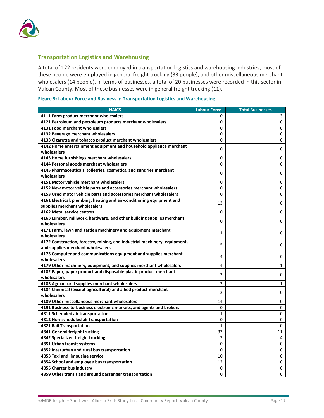

#### **Transportation Logistics and Warehousing**

A total of 122 residents were employed in transportation logistics and warehousing industries; most of these people were employed in general freight trucking (33 people), and other miscellaneous merchant wholesalers (14 people). In terms of businesses, a total of 20 businesses were recorded in this sector in Vulcan County. Most of these businesses were in general freight trucking (11).

| Figure 9: Labour Force and Business in Transportation Logistics and Warehousing |  |  |  |  |
|---------------------------------------------------------------------------------|--|--|--|--|
|---------------------------------------------------------------------------------|--|--|--|--|

| <b>NAICS</b>                                                                   | <b>Labour Force</b> | <b>Total Businesses</b> |
|--------------------------------------------------------------------------------|---------------------|-------------------------|
| 4111 Farm product merchant wholesalers                                         | 0                   | 3                       |
| 4121 Petroleum and petroleum products merchant wholesalers                     | 0                   | 0                       |
| 4131 Food merchant wholesalers                                                 | 0                   | 0                       |
| 4132 Beverage merchant wholesalers                                             | 0                   | 0                       |
| 4133 Cigarette and tobacco product merchant wholesalers                        | 0                   | 0                       |
| 4142 Home entertainment equipment and household appliance merchant             | 0                   |                         |
| wholesalers                                                                    |                     | 0                       |
| 4143 Home furnishings merchant wholesalers                                     | 0                   | 0                       |
| 4144 Personal goods merchant wholesalers                                       | 0                   | 0                       |
| 4145 Pharmaceuticals, toiletries, cosmetics, and sundries merchant             | 0                   | 0                       |
| wholesalers                                                                    |                     |                         |
| 4151 Motor vehicle merchant wholesalers                                        | 0                   | 0                       |
| 4152 New motor vehicle parts and accessories merchant wholesalers              | 0                   | 0                       |
| 4153 Used motor vehicle parts and accessories merchant wholesalers             | 0                   | 0                       |
| 4161 Electrical, plumbing, heating and air-conditioning equipment and          | 13                  | 0                       |
| supplies merchant wholesalers                                                  |                     |                         |
| 4162 Metal service centres                                                     | 0                   | 0                       |
| 4163 Lumber, millwork, hardware, and other building supplies merchant          | 0                   | 0                       |
| wholesalers                                                                    |                     |                         |
| 4171 Farm, lawn and garden machinery and equipment merchant                    | 1                   | 0                       |
| wholesalers                                                                    |                     |                         |
| 4172 Construction, forestry, mining, and industrial machinery, equipment,      | 5                   | 0                       |
| and supplies merchant wholesalers                                              |                     |                         |
| 4173 Computer and communications equipment and supplies merchant               | 4                   | 0                       |
| wholesalers                                                                    |                     |                         |
| 4179 Other machinery, equipment, and supplies merchant wholesalers             | 4                   | 1                       |
| 4182 Paper, paper product and disposable plastic product merchant              | 2                   | 0                       |
| wholesalers                                                                    | 2                   | 1                       |
| 4183 Agricultural supplies merchant wholesalers                                |                     |                         |
| 4184 Chemical (except agricultural) and allied product merchant<br>wholesalers | 2                   | 0                       |
| 4189 Other miscellaneous merchant wholesalers                                  | 14                  | 0                       |
| 4191 Business-to-business electronic markets, and agents and brokers           | 0                   | 0                       |
| 4811 Scheduled air transportation                                              | 1                   | 0                       |
| 4812 Non-scheduled air transportation                                          | 0                   | 0                       |
| 4821 Rail Transportation                                                       | $\mathbf{1}$        | 0                       |
| 4841 General freight trucking                                                  | 33                  | 11                      |
| 4842 Specialized freight trucking                                              | 3                   | 4                       |
| 4851 Urban transit systems                                                     | 0                   | 0                       |
| 4852 Interurban and rural bus transportation                                   | 0                   | 0                       |
| 4853 Taxi and limousine service                                                | 10                  | 0                       |
| 4854 School and employee bus transportation                                    | 12                  | 0                       |
| 4855 Charter bus industry                                                      | 0                   | 0                       |
| 4859 Other transit and ground passenger transportation                         | 0                   | 0                       |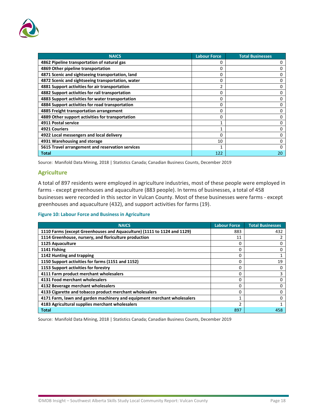

| <b>NAICS</b>                                      | <b>Labour Force</b> | <b>Total Businesses</b> |
|---------------------------------------------------|---------------------|-------------------------|
| 4862 Pipeline transportation of natural gas       |                     |                         |
| 4869 Other pipeline transportation                | O                   |                         |
| 4871 Scenic and sightseeing transportation, land  | 0                   |                         |
| 4872 Scenic and sightseeing transportation, water | O                   |                         |
| 4881 Support activities for air transportation    | 2                   |                         |
| 4882 Support activities for rail transportation   | 0                   |                         |
| 4883 Support activities for water transportation  | Ω                   |                         |
| 4884 Support activities for road transportation   | O                   |                         |
| 4885 Freight transportation arrangement           | 0                   |                         |
| 4889 Other support activities for transportation  | $\Omega$            |                         |
| 4911 Postal service                               |                     |                         |
| <b>4921 Couriers</b>                              | ٠                   |                         |
| 4922 Local messengers and local delivery          | O                   |                         |
| 4931 Warehousing and storage                      | 10                  |                         |
| 5615 Travel arrangement and reservation services  |                     |                         |
| Total                                             | 122                 | 20                      |

Source: Manifold Data Mining, 2018 | Statistics Canada; Canadian Business Counts, December 2019

#### **Agriculture**

A total of 897 residents were employed in agriculture industries, most of these people were employed in farms - except greenhouses and aquaculture (883 people). In terms of businesses, a total of 458 businesses were recorded in this sector in Vulcan County. Most of these businesses were farms - except greenhouses and aquaculture (432), and support activities for farms (19).

#### **Figure 10: Labour Force and Business in Agriculture**

| <b>NAICS</b>                                                            | <b>Labour Force</b> | <b>Total Businesses</b> |
|-------------------------------------------------------------------------|---------------------|-------------------------|
| 1110 Farms (except Greenhouses and Aquaculture) (1111 to 1124 and 1129) | 883                 | 432                     |
| 1114 Greenhouse, nursery, and floriculture production                   | 11                  |                         |
| 1125 Aquaculture                                                        | O                   |                         |
| 1141 Fishing                                                            | o                   |                         |
| 1142 Hunting and trapping                                               |                     |                         |
| 1150 Support activities for farms (1151 and 1152)                       | 0                   | 19                      |
| 1153 Support activities for forestry                                    | O                   |                         |
| 4111 Farm product merchant wholesalers                                  | 0                   | 3                       |
| 4131 Food merchant wholesalers                                          |                     |                         |
| 4132 Beverage merchant wholesalers                                      | o                   |                         |
| 4133 Cigarette and tobacco product merchant wholesalers                 |                     |                         |
| 4171 Farm, lawn and garden machinery and equipment merchant wholesalers |                     |                         |
| 4183 Agricultural supplies merchant wholesalers                         | ำ                   |                         |
| <b>Total</b>                                                            | 897                 | 458                     |

Source: Manifold Data Mining, 2018 | Statistics Canada; Canadian Business Counts, December 2019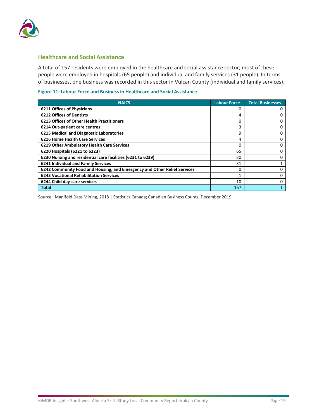

#### **Healthcare and Social Assistance**

A total of 157 residents were employed in the healthcare and social assistance sector; most of these people were employed in hospitals (65 people) and individual and family services (31 people). In terms of businesses, one business was recorded in this sector in Vulcan County (individual and family services).

#### **Figure 11: Labour Force and Business in Healthcare and Social Assistance**

| <b>NAICS</b>                                                             | <b>Labour Force</b> | <b>Total Businesses</b> |
|--------------------------------------------------------------------------|---------------------|-------------------------|
| <b>6211 Offices of Physicians</b>                                        |                     |                         |
| <b>6212 Offices of Dentists</b>                                          | 4                   |                         |
| <b>6213 Offices of Other Health Practitioners</b>                        |                     |                         |
| 6214 Out-patient care centres                                            | 3                   |                         |
| 6215 Medical and Diagnostic Laboratories                                 | 9                   | Ω                       |
| <b>6216 Home Health Care Services</b>                                    | 4                   |                         |
| 6219 Other Ambulatory Health Care Services                               |                     | Ω                       |
| 6220 Hospitals (6221 to 6223)                                            | 65                  |                         |
| 6230 Nursing and residential care facilities (6231 to 6239)              | 30                  |                         |
| 6241 Individual and Family Services                                      | 31                  |                         |
| 6242 Community Food and Housing, and Emergency and Other Relief Services |                     |                         |
| <b>6243 Vocational Rehabilitation Services</b>                           |                     |                         |
| 6244 Child day-care services                                             | 10                  |                         |
| <b>Total</b>                                                             | 157                 |                         |

Source: Manifold Data Mining, 2018 | Statistics Canada; Canadian Business Counts, December 2019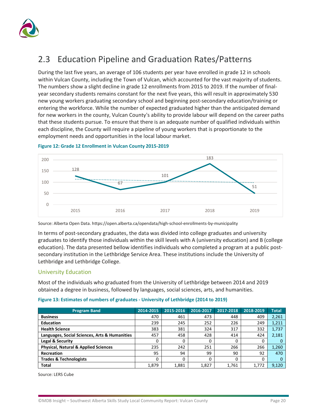

### <span id="page-23-0"></span>2.3 Education Pipeline and Graduation Rates/Patterns

During the last five years, an average of 106 students per year have enrolled in grade 12 in schools within Vulcan County, including the Town of Vulcan, which accounted for the vast majority of students. The numbers show a slight decline in grade 12 enrollments from 2015 to 2019. If the number of finalyear secondary students remains constant for the next five years, this will result in approximately 530 new young workers graduating secondary school and beginning post-secondary education/training or entering the workforce. While the number of expected graduated higher than the anticipated demand for new workers in the county, Vulcan County's ability to provide labour will depend on the career paths that these students pursue. To ensure that there is an adequate number of qualified individuals within each discipline, the County will require a pipeline of young workers that is proportionate to the employment needs and opportunities in the local labour market.



#### **Figure 12: Grade 12 Enrollment in Vulcan County 2015-2019**

Source: Alberta Open Data[. https://open.alberta.ca/opendata/high-school-enrollments-by-municipality](https://open.alberta.ca/opendata/high-school-enrollments-by-municipality)

In terms of post-secondary graduates, the data was divided into college graduates and university graduates to identify those individuals within the skill levels with A (university education) and B (college education). The data presented bellow identifies individuals who completed a program at a public postsecondary institution in the Lethbridge Service Area. These institutions include the University of Lethbridge and Lethbridge College.

#### University Education

Most of the individuals who graduated from the University of Lethbridge between 2014 and 2019 obtained a degree in business, followed by languages, social sciences, arts, and humanities.

|  |  |  | Figure 13: Estimates of numbers of graduates - University of Lethbridge (2014 to 2019) |
|--|--|--|----------------------------------------------------------------------------------------|
|  |  |  |                                                                                        |

| <b>Program Band</b>                             | 2014-2015 | 2015-2016 | 2016-2017 | 2017-2018 | 2018-2019 | <b>Total</b> |
|-------------------------------------------------|-----------|-----------|-----------|-----------|-----------|--------------|
| <b>Business</b>                                 | 470       | 461       | 473       | 448       | 409       | 2,261        |
| <b>Education</b>                                | 239       | 245       | 252       | 226       | 249       | 1,211        |
| <b>Health Science</b>                           | 383       | 381       | 324       | 317       | 332       | 1,737        |
| Languages, Social Sciences, Arts & Humanities   | 457       | 458       | 428       | 414       | 424       | 2,181        |
| Legal & Security                                | 0         | 0         | 0         | 0         | 0         |              |
| <b>Physical, Natural &amp; Applied Sciences</b> | 235       | 242       | 251       | 266       | 266       | 1,260        |
| Recreation                                      | 95        | 94        | 99        | 90        | 92        | 470          |
| <b>Trades &amp; Technologists</b>               | 0         | 0         | 0         | 0         | 0         |              |
| Total                                           | 1,879     | 1.881     | 1,827     | 1.761     | 1,772     | 9,120        |

Source: LERS Cube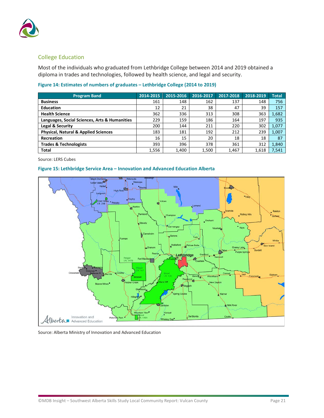

#### College Education

Most of the individuals who graduated from Lethbridge College between 2014 and 2019 obtained a diploma in trades and technologies, followed by health science, and legal and security.

| <b>Program Band</b>                             | 2014-2015 | 2015-2016 | 2016-2017 | 2017-2018 | 2018-2019 | <b>Total</b> |
|-------------------------------------------------|-----------|-----------|-----------|-----------|-----------|--------------|
| <b>Business</b>                                 | 161       | 148       | 162       | 137       | 148       | 756          |
| <b>Education</b>                                | 12        | 21        | 38        | 47        | 39        | 157          |
| <b>Health Science</b>                           | 362       | 336       | 313       | 308       | 363       | 1,682        |
| Languages, Social Sciences, Arts & Humanities   | 229       | 159       | 186       | 164       | 197       | 935          |
| Legal & Security                                | 200       | 144       | 211       | 220       | 302       | 1,077        |
| <b>Physical, Natural &amp; Applied Sciences</b> | 183       | 181       | 192       | 212       | 239       | 1,007        |
| Recreation                                      | 16        | 15        | 20        | 18        | 18        | 87           |
| <b>Trades &amp; Technologists</b>               | 393       | 396       | 378       | 361       | 312       | 1,840        |
| <b>Total</b>                                    | 1,556     | 1,400     | 1,500     | 1,467     | 1,618     | 7,541        |

Source: LERS Cubes

#### **Figure 15: Lethbridge Service Area – Innovation and Advanced Education Alberta**



Source: Alberta Ministry of Innovation and Advanced Education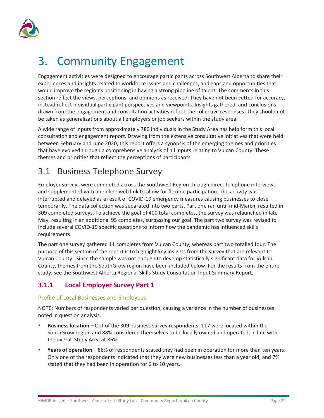

# <span id="page-25-0"></span>3. Community Engagement

Engagement activities were designed to encourage participants across Southwest Alberta to share their experiences and insights related to workforce issues and challenges, and gaps and opportunities that would improve the region's positioning in having a strong pipeline of talent. The comments in this section reflect the views, perceptions, and opinions as received. They have not been vetted for accuracy, instead reflect individual participant perspectives and viewpoints. Insights gathered, and conclusions drawn from the engagement and consultation activities reflect the collective responses. They should not be taken as generalizations about all employers or job seekers within the study area.

A wide range of inputs from approximately 780 individuals in the Study Area has help form this local consultation and engagement report. Drawing from the extensive consultative initiatives that were held between February and June 2020, this report offers a synopsis of the emerging themes and priorities that have evolved through a comprehensive analysis of all inputs relating to Vulcan County. These themes and priorities that reflect the perceptions of participants.

### <span id="page-25-1"></span>3.1 Business Telephone Survey

Employer surveys were completed across the Southwest Region through direct telephone interviews and supplemented with an online web link to allow for flexible participation. The activity was interrupted and delayed as a result of COVID-19 emergency measures causing businesses to close temporarily. The data collection was separated into two parts. Part one ran until mid-March, resulted in 309 completed surveys. To achieve the goal of 400 total completes, the survey was relaunched in late May, resulting in an additional 95 completes, surpassing our goal. The part two survey was revised to include several COVID-19 specific questions to inform how the pandemic has influenced skills requirements.

The part one survey gathered 11 completes from Vulcan County, whereas part two totalled four. The purpose of this section of the report is to highlight key insights from the survey that are relevant to Vulcan County. Since the sample was not enough to develop statistically significant data for Vulcan County, themes from the SouthGrow region have been included below. For the results from the entire study, see the Southwest Alberta Regional Skills Study Consultation Input Summary Report.

### <span id="page-25-2"></span>**3.1.1 Local Employer Survey Part 1**

#### Profile of Local Businesses and Employees

NOTE: Numbers of respondents varied per question, causing a variance in the number of businesses noted in question analysis.

- **Business location –** Out of the 309 business survey respondents, 117 were located within the SouthGrow region and 88% considered themselves to be locally owned and operated, in line with the overall Study Area at 86%.
- **Years of operation –** 86% of respondents stated they had been in operation for more than ten years. Only one of the respondents indicated that they were new businesses less than a year old, and 7% stated that they had been in operation for 6 to 10 years.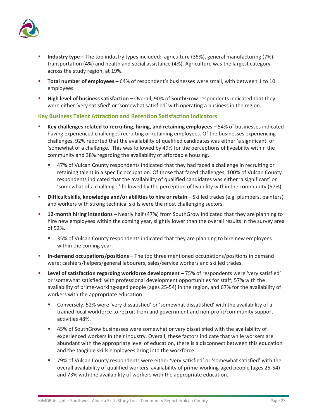

- **Industry type –** The top industry types included: agriculture (35%), general manufacturing (7%), transportation (4%) and health and social assistance (4%). Agriculture was the largest category across the study region, at 19%.
- **Total number of employees –** 64% of respondent's businesses were small, with between 1 to 10 employees.
- **High level of business satisfaction –** Overall, 90% of SouthGrow respondents indicated that they were either 'very satisfied' or 'somewhat satisfied' with operating a business in the region.

#### **Key Business Talent Attraction and Retention Satisfaction Indicators**

- **Key challenges related to recruiting, hiring, and retaining employees –** 54% of businesses indicated having experienced challenges recruiting or retaining employees. Of the businesses experiencing challenges, 92% reported that the availability of qualified candidates was either 'a significant' or 'somewhat of a challenge.' This was followed by 49% for the perceptions of liveability within the community and 38% regarding the availability of affordable housing.
	- 47% of Vulcan County respondents indicated that they had faced a challenge in recruiting or retaining talent in a specific occupation. Of those that faced challenges, 100% of Vulcan County respondents indicated that the availability of qualified candidates was either 'a significant' or 'somewhat of a challenge,' followed by the perception of livability within the community (57%).
- **Difficult skills, knowledge and/or abilities to hire or retain –** Skilled trades (e.g. plumbers, painters) and workers with strong technical skills were the most challenging sectors.
- **12-month hiring intentions –** Nearly half (47%) from SouthGrow indicated that they are planning to hire new employees within the coming year, slightly lower than the overall results in the survey area of 52%.
	- 35% of Vulcan County respondents indicated that they are planning to hire new employees within the coming year.
- **In-demand occupations/positions –** The top three mentioned occupations/positions in demand were: cashiers/helpers/general labourers, sales/service workers and skilled trades.
- **Level of satisfaction regarding workforce development –** 75% of respondents were 'very satisfied' or 'somewhat satisfied' with professional development opportunities for staff; 57% with the availability of prime-working-aged people (ages 25-54) in the region, and 67% for the availability of workers with the appropriate education
	- Conversely, 52% were 'very dissatisfied' or 'somewhat dissatisfied' with the availability of a trained local workforce to recruit from and government and non-profit/community support activities 48%.
	- 45% of SouthGrow businesses were somewhat or very dissatisfied with the availability of experienced workers in their industry. Overall, these factors indicate that while workers are abundant with the appropriate level of education, there is a disconnect between this education and the tangible skills employees bring into the workforce.
	- 79% of Vulcan County respondents were either 'very satisfied' or 'somewhat satisfied' with the overall availability of qualified workers, availability of prime-working-aged people (ages 25-54) and 73% with the availability of workers with the appropriate education.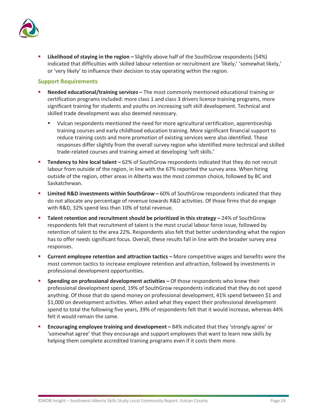

 **Likelihood of staying in the region –** Slightly above half of the SouthGrow respondents (54%) indicated that difficulties with skilled labour retention or recruitment are 'likely,' 'somewhat likely,' or 'very likely' to influence their decision to stay operating within the region.

#### **Support Requirements**

- **Needed educational/training services –** The most commonly mentioned educational training or certification programs included: more class 1 and class 3 drivers licence training programs, more significant training for students and youths on increasing soft skill development. Technical and skilled trade development was also deemed necessary.
	- Vulcan respondents mentioned the need for more agricultural certification, apprenticeship training courses and early childhood education training. More significant financial support to reduce training costs and more promotion of existing services were also identified. These responses differ slightly from the overall survey region who identified more technical and skilled trade-related courses and training aimed at developing 'soft skills.'
- **Tendency to hire local talent –** 62% of SouthGrow respondents indicated that they do not recruit labour from outside of the region, in line with the 67% reported the survey area. When hiring outside of the region, other areas in Alberta was the most common choice, followed by BC and Saskatchewan.
- **Limited R&D investments within SouthGrow –** 60% of SouthGrow respondents indicated that they do not allocate any percentage of revenue towards R&D activities. Of those firms that do engage with R&D, 32% spend less than 10% of total revenue.
- **Talent retention and recruitment should be prioritized in this strategy –** 24% of SouthGrow respondents felt that recruitment of talent is the most crucial labour force issue, followed by retention of talent to the area 22%. Respondents also felt that better understanding what the region has to offer needs significant focus. Overall, these results fall in line with the broader survey area responses.
- **Current employee retention and attraction tactics –** More competitive wages and benefits were the most common tactics to increase employee retention and attraction, followed by investments in professional development opportunities.
- **Spending on professional development activities –** Of those respondents who knew their professional development spend, 19% of SouthGrow respondents indicated that they do not spend anything. Of those that do spend money on professional development, 41% spend between \$1 and \$1,000 on development activities. When asked what they expect their professional development spend to total the following five years, 39% of respondents felt that it would increase, whereas 44% felt it would remain the same.
- **Encouraging employee training and development –** 84% indicated that they 'strongly agree' or 'somewhat agree' that they encourage and support employees that want to learn new skills by helping them complete accredited training programs even if it costs them more.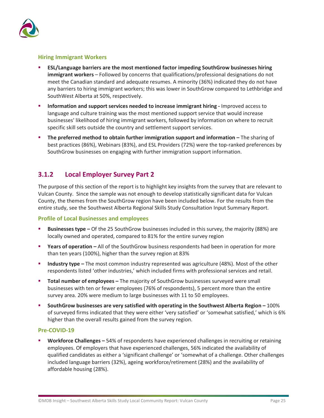

#### **Hiring Immigrant Workers**

- **ESL/Language barriers are the most mentioned factor impeding SouthGrow businesses hiring immigrant workers** – Followed by concerns that qualifications/professional designations do not meet the Canadian standard and adequate resumes. A minority (36%) indicated they do not have any barriers to hiring immigrant workers; this was lower in SouthGrow compared to Lethbridge and SouthWest Alberta at 50%, respectively.
- **Information and support services needed to increase immigrant hiring -** Improved access to language and culture training was the most mentioned support service that would increase businesses' likelihood of hiring immigrant workers, followed by information on where to recruit specific skill sets outside the country and settlement support services.
- **The preferred method to obtain further immigration support and information –** The sharing of best practices (86%), Webinars (83%), and ESL Providers (72%) were the top-ranked preferences by SouthGrow businesses on engaging with further immigration support information.

#### <span id="page-28-0"></span>**3.1.2 Local Employer Survey Part 2**

The purpose of this section of the report is to highlight key insights from the survey that are relevant to Vulcan County. Since the sample was not enough to develop statistically significant data for Vulcan County, the themes from the SouthGrow region have been included below. For the results from the entire study, see the Southwest Alberta Regional Skills Study Consultation Input Summary Report.

#### **Profile of Local Businesses and employees**

- **Businesses type –** Of the 25 SouthGrow businesses included in this survey, the majority (88%) are locally owned and operated, compared to 81% for the entire survey region
- **Years of operation** All of the SouthGrow business respondents had been in operation for more than ten years (100%), higher than the survey region at 83%
- **Industry type –** The most common industry represented was agriculture (48%). Most of the other respondents listed 'other industries,' which included firms with professional services and retail.
- **Total number of employees –** The majority of SouthGrow businesses surveyed were small businesses with ten or fewer employees (76% of respondents), 5 percent more than the entire survey area. 20% were medium to large businesses with 11 to 50 employees.
- **SouthGrow businesses are very satisfied with operating in the Southwest Alberta Region –** 100% of surveyed firms indicated that they were either 'very satisfied' or 'somewhat satisfied,' which is 6% higher than the overall results gained from the survey region.

#### **Pre-COVID-19**

 **Workforce Challenges –** 54% of respondents have experienced challenges in recruiting or retaining employees. Of employers that have experienced challenges, 56% indicated the availability of qualified candidates as either a 'significant challenge' or 'somewhat of a challenge. Other challenges included language barriers (32%), ageing workforce/retirement (28%) and the availability of affordable housing (28%).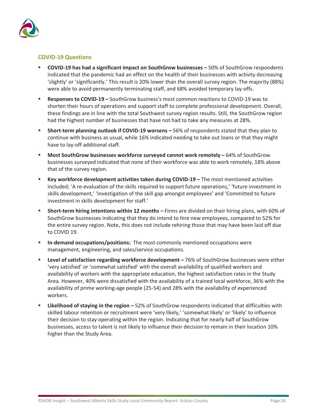

#### **COVID-19 Questions**

- **COVID-19 has had a significant impact on SouthGrow businesses –** 50% of SouthGrow respondents indicated that the pandemic had an effect on the health of their businesses with activity decreasing 'slightly' or 'significantly.' This result is 20% lower than the overall survey region. The majority (88%) were able to avoid permanently terminating staff, and 68% avoided temporary lay-offs.
- **Responses to COVID-19 –** SouthGrow business's most common reactions to COVID-19 was to shorten their hours of operations and support staff to complete professional development. Overall, these findings are in line with the total Southwest survey region results. Still, the SouthGrow region had the highest number of businesses that have not had to take any measures at 28%.
- **Short-term planning outlook if COVID-19 worsens –** 56% of respondents stated that they plan to continue with business as usual, while 16% indicated needing to take out loans or that they might have to lay-off additional staff.
- **Most SouthGrow businesses workforce surveyed cannot work remotely –** 64% of SouthGrow businesses surveyed indicated that none of their workforce was able to work remotely, 18% above that of the survey region.
- **Key workforce development activities taken during COVID-19 –** The most mentioned activities included; 'A re-evaluation of the skills required to support future operations,' 'future investment in skills development,' 'investigation of the skill gap amongst employees' and 'Committed to future investment in skills development for staff.'
- **Short-term hiring intentions within 12 months –** Firms are divided on their hiring plans, with 60% of SouthGrow businesses indicating that they do intend to hire new employees, compared to 52% for the entire survey region. Note, this does not include rehiring those that may have been laid off due to COVID 19.
- **In-demand occupations/positions:** The most commonly mentioned occupations were management, engineering, and sales/service occupations.
- **Level of satisfaction regarding workforce development –** 76% of SouthGrow businesses were either 'very satisfied' or 'somewhat satisfied' with the overall availability of qualified workers and availability of workers with the appropriate education, the highest satisfaction rates in the Study Area. However, 40% were dissatisfied with the availability of a trained local workforce, 36% with the availability of prime working-age people (25-54) and 28% with the availability of experienced workers.
- **Likelihood of staying in the region –** 52% of SouthGrow respondents indicated that difficulties with skilled labour retention or recruitment were 'very likely,' 'somewhat likely' or 'likely' to influence their decision to stay operating within the region. Indicating that for nearly half of SouthGrow businesses, access to talent is not likely to influence their decision to remain in their location 10% higher than the Study Area.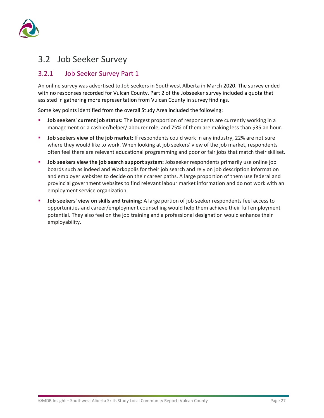

### <span id="page-30-0"></span>3.2 Job Seeker Survey

#### <span id="page-30-1"></span>3.2.1 Job Seeker Survey Part 1

An online survey was advertised to Job seekers in Southwest Alberta in March 2020. The survey ended with no responses recorded for Vulcan County. Part 2 of the Jobseeker survey included a quota that assisted in gathering more representation from Vulcan County in survey findings.

Some key points identified from the overall Study Area included the following:

- **Job seekers' current job status:** The largest proportion of respondents are currently working in a management or a cashier/helper/labourer role, and 75% of them are making less than \$35 an hour.
- **Job seekers view of the job market:** If respondents could work in any industry, 22% are not sure where they would like to work. When looking at job seekers' view of the job market, respondents often feel there are relevant educational programming and poor or fair jobs that match their skillset.
- **Job seekers view the job search support system:** Jobseeker respondents primarily use online job boards such as indeed and Workopolis for their job search and rely on job description information and employer websites to decide on their career paths. A large proportion of them use federal and provincial government websites to find relevant labour market information and do not work with an employment service organization.
- **Job seekers' view on skills and training**: A large portion of job seeker respondents feel access to opportunities and career/employment counselling would help them achieve their full employment potential. They also feel on the job training and a professional designation would enhance their employability.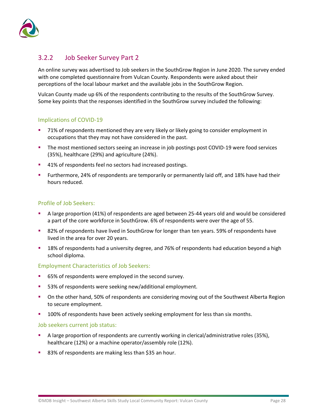

#### <span id="page-31-0"></span>3.2.2 Job Seeker Survey Part 2

An online survey was advertised to Job seekers in the SouthGrow Region in June 2020. The survey ended with one completed questionnaire from Vulcan County. Respondents were asked about their perceptions of the local labour market and the available jobs in the SouthGrow Region.

Vulcan County made up 6% of the respondents contributing to the results of the SouthGrow Survey. Some key points that the responses identified in the SouthGrow survey included the following:

#### Implications of COVID-19

- 71% of respondents mentioned they are very likely or likely going to consider employment in occupations that they may not have considered in the past.
- **The most mentioned sectors seeing an increase in job postings post COVID-19 were food services** (35%), healthcare (29%) and agriculture (24%).
- <sup>4</sup> 41% of respondents feel no sectors had increased postings.
- Furthermore, 24% of respondents are temporarily or permanently laid off, and 18% have had their hours reduced.

#### Profile of Job Seekers:

- A large proportion (41%) of respondents are aged between 25-44 years old and would be considered a part of the core workforce in SouthGrow. 6% of respondents were over the age of 55.
- **82% of respondents have lived in SouthGrow for longer than ten years. 59% of respondents have** lived in the area for over 20 years.
- **18% of respondents had a university degree, and 76% of respondents had education beyond a high** school diploma.

#### Employment Characteristics of Job Seekers:

- 65% of respondents were employed in the second survey.
- 53% of respondents were seeking new/additional employment.
- On the other hand, 50% of respondents are considering moving out of the Southwest Alberta Region to secure employment.
- 100% of respondents have been actively seeking employment for less than six months.

#### Job seekers current job status:

- A large proportion of respondents are currently working in clerical/administrative roles (35%), healthcare (12%) or a machine operator/assembly role (12%).
- 83% of respondents are making less than \$35 an hour.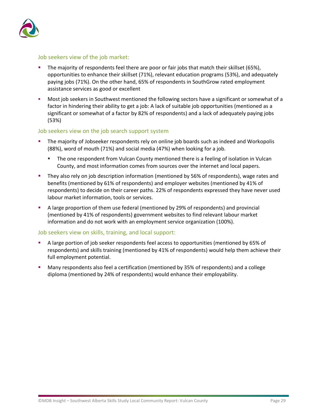

#### Job seekers view of the job market:

- The majority of respondents feel there are poor or fair jobs that match their skillset (65%), opportunities to enhance their skillset (71%), relevant education programs (53%), and adequately paying jobs (71%). On the other hand, 65% of respondents in SouthGrow rated employment assistance services as good or excellent
- Most job seekers in Southwest mentioned the following sectors have a significant or somewhat of a factor in hindering their ability to get a job: A lack of suitable job opportunities (mentioned as a significant or somewhat of a factor by 82% of respondents) and a lack of adequately paying jobs (53%)

#### Job seekers view on the job search support system

- The majority of Jobseeker respondents rely on online job boards such as indeed and Workopolis (88%), word of mouth (71%) and social media (47%) when looking for a job.
	- The one respondent from Vulcan County mentioned there is a feeling of isolation in Vulcan County, and most information comes from sources over the internet and local papers.
- They also rely on job description information (mentioned by 56% of respondents), wage rates and benefits (mentioned by 61% of respondents) and employer websites (mentioned by 41% of respondents) to decide on their career paths. 22% of respondents expressed they have never used labour market information, tools or services.
- A large proportion of them use federal (mentioned by 29% of respondents) and provincial (mentioned by 41% of respondents) government websites to find relevant labour market information and do not work with an employment service organization (100%).

#### Job seekers view on skills, training, and local support:

- A large portion of job seeker respondents feel access to opportunities (mentioned by 65% of respondents) and skills training (mentioned by 41% of respondents) would help them achieve their full employment potential.
- Many respondents also feel a certification (mentioned by 35% of respondents) and a college diploma (mentioned by 24% of respondents) would enhance their employability.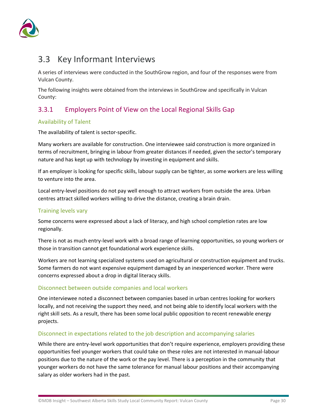

### <span id="page-33-0"></span>3.3 Key Informant Interviews

A series of interviews were conducted in the SouthGrow region, and four of the responses were from Vulcan County.

The following insights were obtained from the interviews in SouthGrow and specifically in Vulcan County:

### <span id="page-33-1"></span>3.3.1 Employers Point of View on the Local Regional Skills Gap

#### Availability of Talent

The availability of talent is sector-specific.

Many workers are available for construction. One interviewee said construction is more organized in terms of recruitment, bringing in labour from greater distances if needed, given the sector's temporary nature and has kept up with technology by investing in equipment and skills.

If an employer is looking for specific skills, labour supply can be tighter, as some workers are less willing to venture into the area.

Local entry-level positions do not pay well enough to attract workers from outside the area. Urban centres attract skilled workers willing to drive the distance, creating a brain drain.

#### Training levels vary

Some concerns were expressed about a lack of literacy, and high school completion rates are low regionally.

There is not as much entry-level work with a broad range of learning opportunities, so young workers or those in transition cannot get foundational work experience skills.

Workers are not learning specialized systems used on agricultural or construction equipment and trucks. Some farmers do not want expensive equipment damaged by an inexperienced worker. There were concerns expressed about a drop in digital literacy skills.

#### Disconnect between outside companies and local workers

One interviewee noted a disconnect between companies based in urban centres looking for workers locally, and not receiving the support they need, and not being able to identify local workers with the right skill sets. As a result, there has been some local public opposition to recent renewable energy projects.

#### Disconnect in expectations related to the job description and accompanying salaries

While there are entry-level work opportunities that don't require experience, employers providing these opportunities feel younger workers that could take on these roles are not interested in manual-labour positions due to the nature of the work or the pay level. There is a perception in the community that younger workers do not have the same tolerance for manual labour positions and their accompanying salary as older workers had in the past.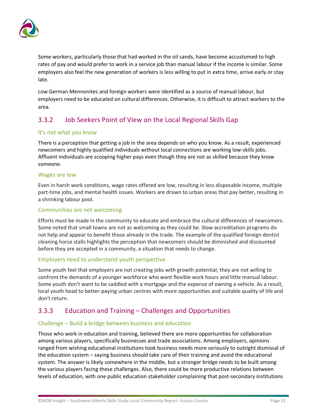

Some workers, particularly those that had worked in the oil sands, have become accustomed to high rates of pay and would prefer to work in a service job than manual labour if the income is similar. Some employers also feel the new generation of workers is less willing to put in extra time, arrive early or stay late.

Low German Mennonites and foreign workers were identified as a source of manual labour, but employers need to be educated on cultural differences. Otherwise, it is difficult to attract workers to the area.

#### <span id="page-34-0"></span>3.3.2 Job Seekers Point of View on the Local Regional Skills Gap

#### It's not what you know

There is a perception that getting a job in the area depends on who you know. As a result, experienced newcomers and highly qualified individuals without local connections are working low-skills jobs. Affluent individuals are scooping higher pays even though they are not as skilled because they know someone.

#### Wages are low

Even in harsh work conditions, wage rates offered are low, resulting in less disposable income, multiple part-time jobs, and mental health issues. Workers are drawn to urban areas that pay better, resulting in a shrinking labour pool.

#### Communities are not welcoming

Efforts must be made in the community to educate and embrace the cultural differences of newcomers. Some noted that small towns are not as welcoming as they could be. Slow accreditation programs do not help and appear to benefit those already in the trade. The example of the qualified foreign dentist cleaning horse stalls highlights the perception that newcomers should be diminished and discounted before they are accepted in a community, a situation that needs to change.

#### Employers need to understand youth perspective

Some youth feel that employers are not creating jobs with growth potential; they are not willing to confront the demands of a younger workforce who want flexible work hours and little manual labour. Some youth don't want to be saddled with a mortgage and the expense of owning a vehicle. As a result, local youth head to better-paying urban centres with more opportunities and suitable quality of life and don't return.

#### <span id="page-34-1"></span>3.3.3 Education and Training – Challenges and Opportunities

#### Challenge – Build a bridge between business and education

Those who work in education and training, believed there are more opportunities for collaboration among various players, specifically businesses and trade associations. Among employers, opinions ranged from wishing educational institutions took business needs more seriously to outright dismissal of the education system – saying business should take care of their training and avoid the educational system. The answer is likely somewhere in the middle, but a stronger bridge needs to be built among the various players facing these challenges. Also, there could be more productive relations between levels of education, with one public education stakeholder complaining that post-secondary institutions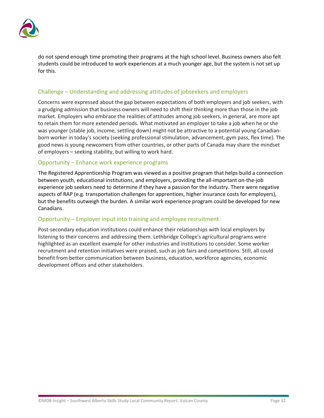

do not spend enough time promoting their programs at the high school level. Business owners also felt students could be introduced to work experiences at a much younger age, but the system is not set up for this.

#### Challenge – Understanding and addressing attitudes of jobseekers and employers

Concerns were expressed about the gap between expectations of both employers and job seekers, with a grudging admission that business owners will need to shift their thinking more than those in the job market. Employers who embrace the realities of attitudes among job seekers, in general, are more apt to retain them for more extended periods. What motivated an employer to take a job when he or she was younger (stable job, income, settling down) might not be attractive to a potential young Canadianborn worker in today's society (seeking professional stimulation, advancement, gym pass, flex time). The good news is young newcomers from other countries, or other parts of Canada may share the mindset of employers – seeking stability, but willing to work hard.

#### Opportunity – Enhance work experience programs

The Registered Apprenticeship Program was viewed as a positive program that helps build a connection between youth, educational institutions, and employers, providing the all-important on-the-job experience job seekers need to determine if they have a passion for the industry. There were negative aspects of RAP (e.g. transportation challenges for apprentices, higher insurance costs for employers), but the benefits outweigh the burden. A similar work experience program could be developed for new Canadians.

#### Opportunity – Employer input into training and employee recruitment

Post-secondary education institutions could enhance their relationships with local employers by listening to their concerns and addressing them. Lethbridge College's agricultural programs were highlighted as an excellent example for other industries and institutions to consider. Some worker recruitment and retention initiatives were praised, such as job fairs and competitions. Still, all could benefit from better communication between business, education, workforce agencies, economic development offices and other stakeholders.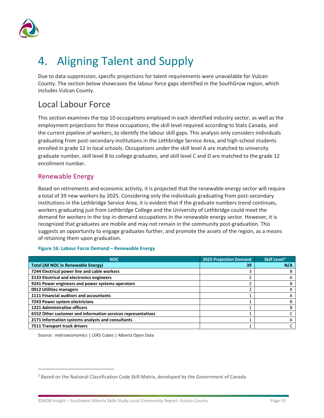

# <span id="page-36-0"></span>4. Aligning Talent and Supply

Due to data suppression, specific projections for talent requirements were unavailable for Vulcan County. The section below showcases the labour force gaps identified in the SouthGrow region, which includes Vulcan County.

### Local Labour Force

This section examines the top 10 occupations employed in each identified industry sector, as well as the employment projections for these occupations, the skill level required according to Stats Canada, and the current pipeline of workers, to identify the labour skill gaps. This analysis only considers individuals graduating from post-secondary institutions in the Lethbridge Service Area, and high-school students enrolled in grade 12 in local schools. Occupations under the skill level A are matched to university graduate number, skill level B to college graduates, and skill level C and D are matched to the grade 12 enrollment number.

#### Renewable Energy

Based on retirements and economic activity, it is projected that the renewable energy sector will require a total of 39 new workers by 2025. Considering only the individuals graduating from post-secondary institutions in the Lethbridge Service Area, it is evident that if the graduate numbers trend continues, workers graduating just from Lethbridge College and the University of Lethbridge could meet the demand for workers in the top in-demand occupations in the renewable energy sector. However, it is recognized that graduates are mobile and may not remain in the community post-graduation. This suggests an opportunity to engage graduates further, and promote the assets of the region, as a means of retaining them upon graduation.

#### **Figure 16: Labour Force Demand – Renewable Energy**

| <b>NOC</b>                                                   | <b>2025 Projection Demand</b> | Skill Level <sup>3</sup> |
|--------------------------------------------------------------|-------------------------------|--------------------------|
| <b>Total (All NOC in Renewable Energy)</b>                   | 39                            | N/A                      |
| 7244 Electrical power line and cable workers                 |                               |                          |
| 2133 Electrical and electronics engineers                    |                               |                          |
| 9241 Power engineers and power systems operators             |                               |                          |
| 0912 Utilities managers                                      | n.                            |                          |
| 1111 Financial auditors and accountants                      |                               |                          |
| 7243 Power system electricians                               |                               |                          |
| <b>1221 Administrative officers</b>                          |                               |                          |
| 6552 Other customer and information services representatives |                               |                          |
| 2171 Information systems analysts and consultants            |                               |                          |
| 7511 Transport truck drivers                                 |                               |                          |

<span id="page-36-1"></span><sup>&</sup>lt;sup>3</sup> Based on the National Classification Code Skill Matrix, developed by the Government of Canada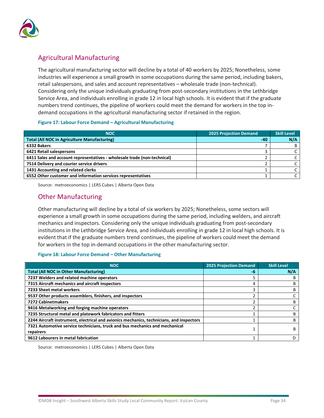

#### Agricultural Manufacturing

The agricultural manufacturing sector will decline by a total of 40 workers by 2025; Nonetheless, some industries will experience a small growth in some occupations during the same period, including bakers, retail salespersons, and sales and account representatives – wholesale trade (non-technical). Considering only the unique individuals graduating from post-secondary institutions in the Lethbridge Service Area, and individuals enrolling in grade 12 in local high schools. It is evident that if the graduate numbers trend continues, the pipeline of workers could meet the demand for workers in the top indemand occupations in the agricultural manufacturing sector if retained in the region.

#### **Figure 17: Labour Force Demand – Agricultural Manufacturing**

| <b>NOC</b>                                                               | <b>2025 Projection Demand</b> | <b>Skill Level</b> |
|--------------------------------------------------------------------------|-------------------------------|--------------------|
| <b>Total (All NOC in Agriculture Manufacturing)</b>                      | $-40$                         | N/A                |
| 6332 Bakers                                                              |                               |                    |
| 6421 Retail salespersons                                                 |                               |                    |
| 6411 Sales and account representatives - wholesale trade (non-technical) |                               |                    |
| 7514 Delivery and courier service drivers                                |                               |                    |
| 1431 Accounting and related clerks                                       |                               |                    |
| 6552 Other customer and information services representatives             |                               |                    |

Source: metroeconomics | LERS Cubes | Alberta Open Data

#### Other Manufacturing

Other manufacturing will decline by a total of six workers by 2025; Nonetheless, some sectors will experience a small growth in some occupations during the same period, including welders, and aircraft mechanics and inspectors. Considering only the unique individuals graduating from post-secondary institutions in the Lethbridge Service Area, and individuals enrolling in grade 12 in local high schools. It is evident that if the graduate numbers trend continues, the pipeline of workers could meet the demand for workers in the top in-demand occupations in the other manufacturing sector.

#### **Figure 18: Labour Force Demand – Other Manufacturing**

| <b>NOC</b>                                                                               | <b>2025 Projection Demand</b> | <b>Skill Level</b> |
|------------------------------------------------------------------------------------------|-------------------------------|--------------------|
| <b>Total (All NOC in Other Manufacturing)</b>                                            | -6                            | N/A                |
| 7237 Welders and related machine operators                                               |                               | R                  |
| 7315 Aircraft mechanics and aircraft inspectors                                          | 4                             | B                  |
| 7233 Sheet metal workers                                                                 | 3                             | B                  |
| 9537 Other products assemblers, finishers, and inspectors                                |                               |                    |
| 7272 Cabinetmakers                                                                       |                               | В                  |
| 9416 Metalworking and forging machine operators                                          |                               |                    |
| 7235 Structural metal and platework fabricators and fitters                              |                               | B                  |
| 2244 Aircraft instrument, electrical and avionics mechanics, technicians, and inspectors |                               | B                  |
| 7321 Automotive service technicians, truck and bus mechanics and mechanical              |                               | B                  |
| repairers                                                                                |                               |                    |
| 9612 Labourers in metal fabrication                                                      |                               |                    |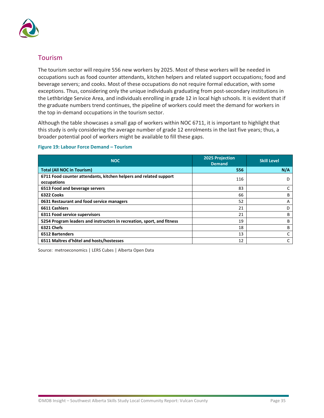

#### Tourism

The tourism sector will require 556 new workers by 2025. Most of these workers will be needed in occupations such as food counter attendants, kitchen helpers and related support occupations; food and beverage servers; and cooks. Most of these occupations do not require formal education, with some exceptions. Thus, considering only the unique individuals graduating from post-secondary institutions in the Lethbridge Service Area, and individuals enrolling in grade 12 in local high schools. It is evident that if the graduate numbers trend continues, the pipeline of workers could meet the demand for workers in the top in-demand occupations in the tourism sector.

Although the table showcases a small gap of workers within NOC 6711, it is important to highlight that this study is only considering the average number of grade 12 enrolments in the last five years; thus, a broader potential pool of workers might be available to fill these gaps.

#### **Figure 19: Labour Force Demand – Tourism**

| <b>NOC</b>                                                                       | 2025 Projection<br><b>Demand</b> | <b>Skill Level</b> |
|----------------------------------------------------------------------------------|----------------------------------|--------------------|
| <b>Total (All NOC in Tourism)</b>                                                | 556                              | N/A                |
| 6711 Food counter attendants, kitchen helpers and related support<br>occupations | 116                              | D                  |
| 6513 Food and beverage servers                                                   | 83                               | C                  |
| 6322 Cooks                                                                       | 66                               | В                  |
| 0631 Restaurant and food service managers                                        | 52                               | Α                  |
| 6611 Cashiers                                                                    | 21                               | D                  |
| 6311 Food service supervisors                                                    | 21                               | В                  |
| 5254 Program leaders and instructors in recreation, sport, and fitness           | 19                               | B                  |
| 6321 Chefs                                                                       | 18                               | B                  |
| <b>6512 Bartenders</b>                                                           | 13                               |                    |
| 6511 Maîtres d'hôtel and hosts/hostesses                                         | 12                               |                    |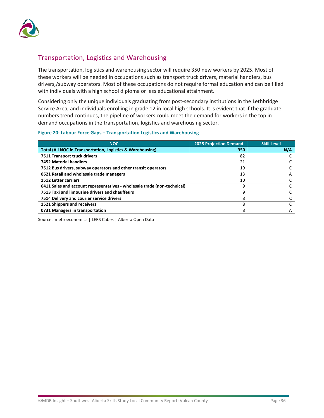

#### Transportation, Logistics and Warehousing

The transportation, logistics and warehousing sector will require 350 new workers by 2025. Most of these workers will be needed in occupations such as transport truck drivers, material handlers, bus drivers,/subway operators. Most of these occupations do not require formal education and can be filled with individuals with a high school diploma or less educational attainment.

Considering only the unique individuals graduating from post-secondary institutions in the Lethbridge Service Area, and individuals enrolling in grade 12 in local high schools. It is evident that if the graduate numbers trend continues, the pipeline of workers could meet the demand for workers in the top indemand occupations in the transportation, logistics and warehousing sector.

#### **Figure 20: Labour Force Gaps – Transportation Logistics and Warehousing**

| <b>NOC</b>                                                               | <b>2025 Projection Demand</b> | <b>Skill Level</b> |
|--------------------------------------------------------------------------|-------------------------------|--------------------|
| <b>Total (All NOC in Transportation, Logistics &amp; Warehousing)</b>    | 350                           | N/A                |
| 7511 Transport truck drivers                                             | 82                            |                    |
| <b>7452 Material handlers</b>                                            | 21                            |                    |
| 7512 Bus drivers, subway operators and other transit operators           | 19                            |                    |
| 0621 Retail and wholesale trade managers                                 | 13                            | A                  |
| <b>1512 Letter carriers</b>                                              | 10                            |                    |
| 6411 Sales and account representatives - wholesale trade (non-technical) | 9                             |                    |
| 7513 Taxi and limousine drivers and chauffeurs                           | 9                             |                    |
| 7514 Delivery and courier service drivers                                | 8                             |                    |
| 1521 Shippers and receivers                                              | 8                             |                    |
| 0731 Managers in transportation                                          | 8                             | A                  |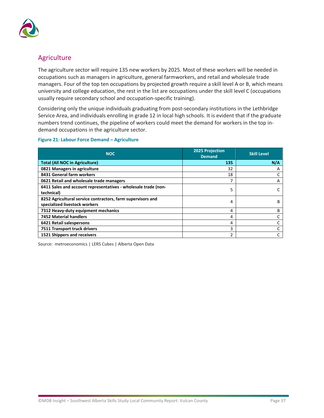

#### Agriculture

The agriculture sector will require 135 new workers by 2025. Most of these workers will be needed in occupations such as managers in agriculture, general farmworkers, and retail and wholesale trade managers. Four of the top ten occupations by projected growth require a skill level A or B, which means university and college education, the rest in the list are occupations under the skill level C (occupations usually require secondary school and occupation-specific training).

Considering only the unique individuals graduating from post-secondary institutions in the Lethbridge Service Area, and individuals enrolling in grade 12 in local high schools. It is evident that if the graduate numbers trend continues, the pipeline of workers could meet the demand for workers in the top indemand occupations in the agriculture sector.

#### **Figure 21: Labour Force Demand – Agriculture**

| <b>NOC</b>                                                                                   | <b>2025 Projection</b><br><b>Demand</b> | <b>Skill Level</b> |
|----------------------------------------------------------------------------------------------|-----------------------------------------|--------------------|
| <b>Total (All NOC in Agriculture)</b>                                                        | 135                                     | N/A                |
| 0821 Managers in agriculture                                                                 | 32                                      | Α                  |
| 8431 General farm workers                                                                    | 18                                      |                    |
| 0621 Retail and wholesale trade managers                                                     |                                         | A                  |
| 6411 Sales and account representatives - wholesale trade (non-<br>technical)                 | 5                                       |                    |
| 8252 Agricultural service contractors, farm supervisors and<br>specialized livestock workers | 4                                       | В                  |
| 7312 Heavy-duty equipment mechanics                                                          | 4                                       | в                  |
| <b>7452 Material handlers</b>                                                                | 4                                       |                    |
| 6421 Retail salespersons                                                                     | 4                                       |                    |
| 7511 Transport truck drivers                                                                 | 3                                       |                    |
| 1521 Shippers and receivers                                                                  | ำ                                       |                    |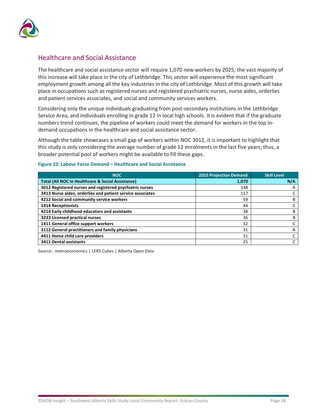

#### Healthcare and Social Assistance

The healthcare and social assistance sector will require 1,070 new workers by 2025; the vast majority of this increase will take place in the city of Lethbridge. This sector will experience the most significant employment growth among all the key industries in the city of Lethbridge. Most of this growth will take place in occupations such as registered nurses and registered psychiatric nurses, nurse aides, orderlies and patient services associates, and social and community services workers.

Considering only the unique individuals graduating from post-secondary institutions in the Lethbridge Service Area, and individuals enrolling in grade 12 in local high schools. It is evident that if the graduate numbers trend continues, the pipeline of workers could meet the demand for workers in the top indemand occupations in the healthcare and social assistance sector.

Although the table showcases a small gap of workers within NOC 3012, it is important to highlight that this study is only considering the average number of grade 12 enrolments in the last five years; thus, a broader potential pool of workers might be available to fill these gaps.

| <b>NOC</b>                                                   | <b>2025 Projection Demand</b> | <b>Skill Level</b> |
|--------------------------------------------------------------|-------------------------------|--------------------|
| <b>Total (All NOC in Healthcare &amp; Social Assistance)</b> | 1,070                         | N/A                |
| 3012 Registered nurses and registered psychiatric nurses     | 148                           | A                  |
| 3413 Nurse aides, orderlies and patient service associates   | 117                           |                    |
| 4212 Social and community service workers                    | 59                            | В                  |
| <b>1414 Receptionists</b>                                    | 44                            |                    |
| 4214 Early childhood educators and assistants                | 38                            | в                  |
| 3233 Licensed practical nurses                               | 36                            | B                  |
| 1411 General office support workers                          | 32                            |                    |
| 3112 General practitioners and family physicians             | 31                            | A                  |
| 4411 Home child care providers                               | 31                            |                    |
| <b>3411 Dental assistants</b>                                | 25                            |                    |

#### **Figure 22: Labour Force Demand – Healthcare and Social Assistance**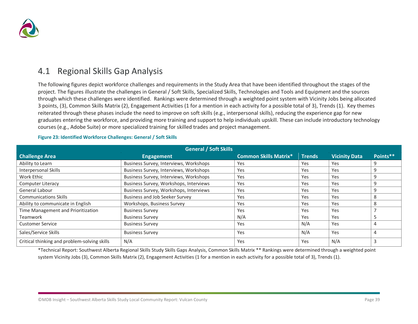

### 4.1 Regional Skills Gap Analysis

The following figures depict workforce challenges and requirements in the Study Area that have been identified throughout the stages of the project. The figures illustrate the challenges in General / Soft Skills, Specialized Skills, Technologies and Tools and Equipment and the sources through which these challenges were identified. Rankings were determined through a weighted point system with Vicinity Jobs being allocated 3 points, (3), Common Skills Matrix (2), Engagement Activities (1 for a mention in each activity for a possible total of 3), Trends (1). Key themes reiterated through these phases include the need to improve on soft skills (e.g., interpersonal skills), reducing the experience gap for new graduates entering the workforce, and providing more training and support to help individuals upskill. These can include introductory technology courses (e.g., Adobe Suite) or more specialized training for skilled trades and project management.

<span id="page-42-0"></span>

| <b>General / Soft Skills</b>                 |                                        |                              |               |                      |          |  |  |  |
|----------------------------------------------|----------------------------------------|------------------------------|---------------|----------------------|----------|--|--|--|
| <b>Challenge Area</b>                        | <b>Engagement</b>                      | <b>Common Skills Matrix*</b> | <b>Trends</b> | <b>Vicinity Data</b> | Points** |  |  |  |
| Ability to Learn                             | Business Survey, Interviews, Workshops | Yes                          | Yes           | Yes                  | 9        |  |  |  |
| Interpersonal Skills                         | Business Survey, Interviews, Workshops | Yes                          | Yes           | Yes                  | 9        |  |  |  |
| Work Ethic                                   | Business Survey, Interviews, Workshops | Yes                          | Yes           | Yes                  | 9        |  |  |  |
| <b>Computer Literacy</b>                     | Business Survey, Workshops, Interviews | Yes                          | Yes           | Yes                  | 9        |  |  |  |
| General Labour                               | Business Survey, Workshops, Interviews | Yes                          | Yes           | Yes                  | 9        |  |  |  |
| <b>Communications Skills</b>                 | Business and Job Seeker Survey         | Yes                          | Yes           | Yes                  | 8        |  |  |  |
| Ability to communicate in English            | Workshops, Business Survey             | Yes                          | Yes           | Yes                  |          |  |  |  |
| Time Management and Prioritization           | <b>Business Survey</b>                 | Yes                          | Yes           | Yes                  |          |  |  |  |
| <b>Teamwork</b>                              | <b>Business Survey</b>                 | N/A                          | Yes           | Yes                  |          |  |  |  |
| <b>Customer Service</b>                      | <b>Business Survey</b>                 | Yes                          | N/A           | Yes                  | 4        |  |  |  |
| Sales/Service Skills                         | <b>Business Survey</b>                 | Yes                          | N/A           | Yes                  | 4        |  |  |  |
| Critical thinking and problem-solving skills | N/A                                    | Yes                          | Yes           | N/A                  |          |  |  |  |

#### **Figure 23: Identified Workforce Challenges: General / Soft Skills**

\*Technical Report: Southwest Alberta Regional Skills Study Skills Gaps Analysis, Common Skills Matrix \*\* Rankings were determined through a weighted point system Vicinity Jobs (3), Common Skills Matrix (2), Engagement Activities (1 for a mention in each activity for a possible total of 3), Trends (1).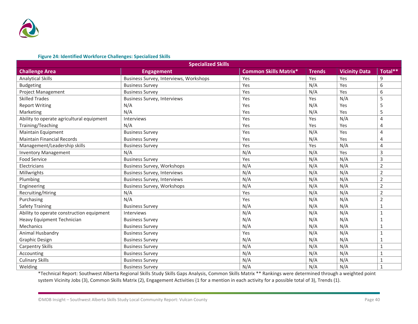

#### **Figure 24: Identified Workforce Challenges: Specialized Skills**

| <b>Specialized Skills</b>                 |                                        |                              |               |                      |                |  |  |
|-------------------------------------------|----------------------------------------|------------------------------|---------------|----------------------|----------------|--|--|
| <b>Challenge Area</b>                     | <b>Engagement</b>                      | <b>Common Skills Matrix*</b> | <b>Trends</b> | <b>Vicinity Data</b> | Total**        |  |  |
| <b>Analytical Skills</b>                  | Business Survey, Interviews, Workshops | Yes                          | Yes           | Yes                  | 9              |  |  |
| <b>Budgeting</b>                          | <b>Business Survey</b>                 | Yes                          | N/A           | Yes                  | 6              |  |  |
| <b>Project Management</b>                 | <b>Business Survey</b>                 | Yes                          | N/A           | Yes                  | 6              |  |  |
| <b>Skilled Trades</b>                     | <b>Business Survey, Interviews</b>     | Yes                          | Yes           | N/A                  | 5              |  |  |
| <b>Report Writing</b>                     | N/A                                    | Yes                          | N/A           | Yes                  | 5              |  |  |
| Marketing                                 | N/A                                    | Yes                          | N/A           | Yes                  | 5              |  |  |
| Ability to operate agricultural equipment | Interviews                             | Yes                          | Yes           | N/A                  | 4              |  |  |
| Training/Teaching                         | N/A                                    | Yes                          | Yes           | Yes                  | $\overline{4}$ |  |  |
| Maintain Equipment                        | <b>Business Survey</b>                 | Yes                          | N/A           | Yes                  | $\overline{4}$ |  |  |
| <b>Maintain Financial Records</b>         | <b>Business Survey</b>                 | Yes                          | N/A           | Yes                  | $\overline{4}$ |  |  |
| Management/Leadership skills              | <b>Business Survey</b>                 | Yes                          | Yes           | N/A                  | $\overline{4}$ |  |  |
| <b>Inventory Management</b>               | N/A                                    | N/A                          | N/A           | Yes                  | 3              |  |  |
| <b>Food Service</b>                       | <b>Business Survey</b>                 | Yes                          | N/A           | N/A                  | 3              |  |  |
| Electricians                              | <b>Business Survey, Workshops</b>      | N/A                          | N/A           | N/A                  | $\overline{2}$ |  |  |
| Millwrights                               | <b>Business Survey, Interviews</b>     | N/A                          | N/A           | N/A                  | $\overline{2}$ |  |  |
| Plumbing                                  | <b>Business Survey, Interviews</b>     | N/A                          | N/A           | N/A                  | 2              |  |  |
| Engineering                               | <b>Business Survey, Workshops</b>      | N/A                          | N/A           | N/A                  | $\overline{2}$ |  |  |
| Recruiting/Hiring                         | N/A                                    | Yes                          | N/A           | N/A                  | 2              |  |  |
| Purchasing                                | N/A                                    | Yes                          | N/A           | N/A                  | $\overline{2}$ |  |  |
| <b>Safety Training</b>                    | <b>Business Survey</b>                 | N/A                          | N/A           | N/A                  | 1              |  |  |
| Ability to operate construction equipment | Interviews                             | N/A                          | N/A           | N/A                  | $\mathbf{1}$   |  |  |
| Heavy Equipment Technician                | <b>Business Survey</b>                 | N/A                          | N/A           | N/A                  | $\mathbf{1}$   |  |  |
| Mechanics                                 | <b>Business Survey</b>                 | N/A                          | N/A           | N/A                  | 1              |  |  |
| Animal Husbandry                          | <b>Business Survey</b>                 | Yes                          | N/A           | N/A                  | 1              |  |  |
| <b>Graphic Design</b>                     | <b>Business Survey</b>                 | N/A                          | N/A           | N/A                  | 1              |  |  |
| <b>Carpentry Skills</b>                   | <b>Business Survey</b>                 | N/A                          | N/A           | N/A                  | $\mathbf{1}$   |  |  |
| Accounting                                | <b>Business Survey</b>                 | N/A                          | N/A           | N/A                  | $1\,$          |  |  |
| <b>Culinary Skills</b>                    | <b>Business Survey</b>                 | N/A                          | N/A           | N/A                  | $\mathbf{1}$   |  |  |
| Welding                                   | <b>Business Survey</b>                 | N/A                          | N/A           | N/A                  | $\mathbf{1}$   |  |  |

\*Technical Report: Southwest Alberta Regional Skills Study Skills Gaps Analysis, Common Skills Matrix \*\* Rankings were determined through a weighted point system Vicinity Jobs (3), Common Skills Matrix (2), Engagement Activities (1 for a mention in each activity for a possible total of 3), Trends (1).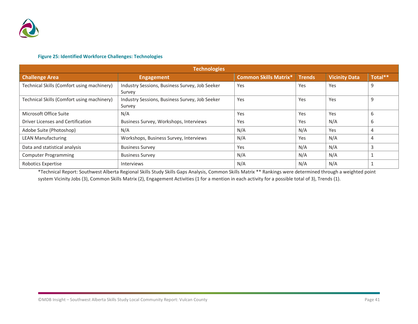

#### **Figure 25: Identified Workforce Challenges: Technologies**

| <b>Technologies</b>                        |                                                          |                              |               |                      |         |  |  |
|--------------------------------------------|----------------------------------------------------------|------------------------------|---------------|----------------------|---------|--|--|
| <b>Challenge Area</b>                      | <b>Engagement</b>                                        | <b>Common Skills Matrix*</b> | <b>Trends</b> | <b>Vicinity Data</b> | Total** |  |  |
| Technical Skills (Comfort using machinery) | Industry Sessions, Business Survey, Job Seeker<br>Survey | Yes                          | Yes           | Yes                  | 9       |  |  |
| Technical Skills (Comfort using machinery) | Industry Sessions, Business Survey, Job Seeker<br>Survey | Yes                          | Yes           | Yes                  | 9       |  |  |
| Microsoft Office Suite                     | N/A                                                      | Yes                          | Yes           | Yes                  | 6       |  |  |
| Driver Licenses and Certification          | Business Survey, Workshops, Interviews                   | Yes                          | Yes           | N/A                  | 6       |  |  |
| Adobe Suite (Photoshop)                    | N/A                                                      | N/A                          | N/A           | Yes                  | 4       |  |  |
| <b>LEAN Manufacturing</b>                  | Workshops, Business Survey, Interviews                   | N/A                          | Yes           | N/A                  |         |  |  |
| Data and statistical analysis              | <b>Business Survey</b>                                   | Yes                          | N/A           | N/A                  |         |  |  |
| <b>Computer Programming</b>                | <b>Business Survey</b>                                   | N/A                          | N/A           | N/A                  |         |  |  |
| Robotics Expertise                         | <b>Interviews</b>                                        | N/A                          | N/A           | N/A                  |         |  |  |

\*Technical Report: Southwest Alberta Regional Skills Study Skills Gaps Analysis, Common Skills Matrix \*\* Rankings were determined through a weighted point system Vicinity Jobs (3), Common Skills Matrix (2), Engagement Activities (1 for a mention in each activity for a possible total of 3), Trends (1).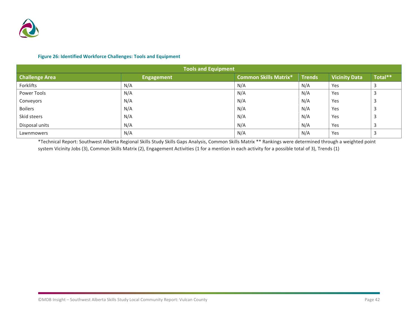

#### **Figure 26: Identified Workforce Challenges: Tools and Equipment**

| <b>Tools and Equipment</b> |                   |                              |               |                      |         |  |  |  |
|----------------------------|-------------------|------------------------------|---------------|----------------------|---------|--|--|--|
| <b>Challenge Area</b>      | <b>Engagement</b> | <b>Common Skills Matrix*</b> | <b>Trends</b> | <b>Vicinity Data</b> | Total** |  |  |  |
| Forklifts                  | N/A               | N/A                          | N/A           | Yes                  |         |  |  |  |
| Power Tools                | N/A               | N/A                          | N/A           | Yes                  |         |  |  |  |
| Conveyors                  | N/A               | N/A                          | N/A           | Yes                  |         |  |  |  |
| <b>Boilers</b>             | N/A               | N/A                          | N/A           | Yes                  | В       |  |  |  |
| Skid steers                | N/A               | N/A                          | N/A           | Yes                  | В       |  |  |  |
| Disposal units             | N/A               | N/A                          | N/A           | Yes                  |         |  |  |  |
| Lawnmowers                 | N/A               | N/A                          | N/A           | Yes                  |         |  |  |  |

\*Technical Report: Southwest Alberta Regional Skills Study Skills Gaps Analysis, Common Skills Matrix \*\* Rankings were determined through a weighted point system Vicinity Jobs (3), Common Skills Matrix (2), Engagement Activities (1 for a mention in each activity for a possible total of 3), Trends (1)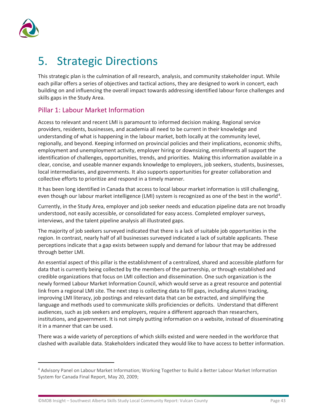

# <span id="page-46-0"></span>5. Strategic Directions

This strategic plan is the culmination of all research, analysis, and community stakeholder input. While each pillar offers a series of objectives and tactical actions, they are designed to work in concert, each building on and influencing the overall impact towards addressing identified labour force challenges and skills gaps in the Study Area.

#### Pillar 1: Labour Market Information

Access to relevant and recent LMI is paramount to informed decision making. Regional service providers, residents, businesses, and academia all need to be current in their knowledge and understanding of what is happening in the labour market, both locally at the community level, regionally, and beyond. Keeping informed on provincial policies and their implications, economic shifts, employment and unemployment activity, employer hiring or downsizing, enrollments all support the identification of challenges, opportunities, trends, and priorities. Making this information available in a clear, concise, and useable manner expands knowledge to employers, job seekers, students, businesses, local intermediaries, and governments. It also supports opportunities for greater collaboration and collective efforts to prioritize and respond in a timely manner.

It has been long identified in Canada that access to local labour market information is still challenging, even though our labour market intelligence (LMI) system is recognized as one of the best in the world<sup>[4](#page-46-1)</sup>.

Currently, in the Study Area, employer and job seeker needs and education pipeline data are not broadly understood, not easily accessible, or consolidated for easy access. Completed employer surveys, interviews, and the talent pipeline analysis all illustrated gaps.

The majority of job seekers surveyed indicated that there is a lack of suitable job opportunities in the region. In contrast, nearly half of all businesses surveyed indicated a lack of suitable applicants. These perceptions indicate that a gap exists between supply and demand for labour that may be addressed through better LMI.

An essential aspect of this pillar is the establishment of a centralized, shared and accessible platform for data that is currently being collected by the members of the partnership, or through established and credible organizations that focus on LMI collection and dissemination. One such organization is the newly formed Labour Market Information Council, which would serve as a great resource and potential link from a regional LMI site. The next step is collecting data to fill gaps, including alumni tracking, improving LMI literacy, job postings and relevant data that can be extracted, and simplifying the language and methods used to communicate skills proficiencies or deficits. Understand that different audiences, such as job seekers and employers, require a different approach than researchers, institutions, and government. It is not simply putting information on a website, instead of disseminating it in a manner that can be used.

There was a wide variety of perceptions of which skills existed and were needed in the workforce that clashed with available data. Stakeholders indicated they would like to have access to better information.

<span id="page-46-1"></span><sup>4</sup> Advisory Panel on Labour Market Information; Working Together to Build a Better Labour Market Information System for Canada Final Report, May 20, 2009;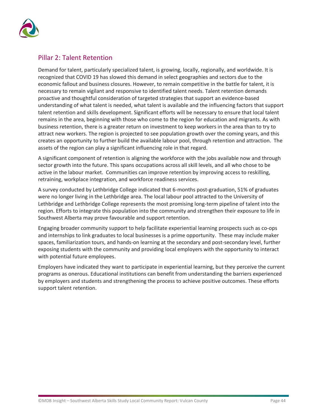

#### Pillar 2: Talent Retention

Demand for talent, particularly specialized talent, is growing, locally, regionally, and worldwide. It is recognized that COVID 19 has slowed this demand in select geographies and sectors due to the economic fallout and business closures. However, to remain competitive in the battle for talent, it is necessary to remain vigilant and responsive to identified talent needs. Talent retention demands proactive and thoughtful consideration of targeted strategies that support an evidence-based understanding of what talent is needed, what talent is available and the influencing factors that support talent retention and skills development. Significant efforts will be necessary to ensure that local talent remains in the area, beginning with those who come to the region for education and migrants. As with business retention, there is a greater return on investment to keep workers in the area than to try to attract new workers. The region is projected to see population growth over the coming years, and this creates an opportunity to further build the available labour pool, through retention and attraction. The assets of the region can play a significant influencing role in that regard.

A significant component of retention is aligning the workforce with the jobs available now and through sector growth into the future. This spans occupations across all skill levels, and all who chose to be active in the labour market. Communities can improve retention by improving access to reskilling, retraining, workplace integration, and workforce readiness services.

A survey conducted by Lethbridge College indicated that 6-months post-graduation, 51% of graduates were no longer living in the Lethbridge area. The local labour pool attracted to the University of Lethbridge and Lethbridge College represents the most promising long-term pipeline of talent into the region. Efforts to integrate this population into the community and strengthen their exposure to life in Southwest Alberta may prove favourable and support retention.

Engaging broader community support to help facilitate experiential learning prospects such as co-ops and internships to link graduates to local businesses is a prime opportunity. These may include maker spaces, familiarization tours, and hands-on learning at the secondary and post-secondary level, further exposing students with the community and providing local employers with the opportunity to interact with potential future employees.

Employers have indicated they want to participate in experiential learning, but they perceive the current programs as onerous. Educational institutions can benefit from understanding the barriers experienced by employers and students and strengthening the process to achieve positive outcomes. These efforts support talent retention.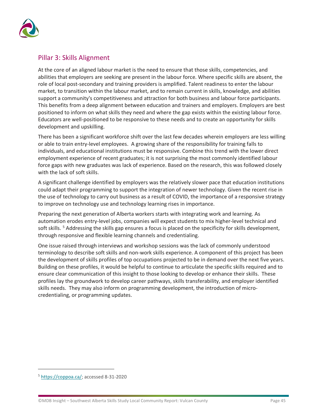

#### Pillar 3: Skills Alignment

At the core of an aligned labour market is the need to ensure that those skills, competencies, and abilities that employers are seeking are present in the labour force. Where specific skills are absent, the role of local post-secondary and training providers is amplified. Talent readiness to enter the labour market, to transition within the labour market, and to remain current in skills, knowledge, and abilities support a community's competitiveness and attraction for both business and labour force participants. This benefits from a deep alignment between education and trainers and employers. Employers are best positioned to inform on what skills they need and where the gap exists within the existing labour force. Educators are well-positioned to be responsive to these needs and to create an opportunity for skills development and upskilling.

There has been a significant workforce shift over the last few decades wherein employers are less willing or able to train entry-level employees. A growing share of the responsibility for training falls to individuals, and educational institutions must be responsive. Combine this trend with the lower direct employment experience of recent graduates; it is not surprising the most commonly identified labour force gaps with new graduates was lack of experience. Based on the research, this was followed closely with the lack of soft skills.

A significant challenge identified by employers was the relatively slower pace that education institutions could adapt their programming to support the integration of newer technology. Given the recent rise in the use of technology to carry out business as a result of COVID, the importance of a responsive strategy to improve on technology use and technology learning rises in importance.

Preparing the next generation of Alberta workers starts with integrating work and learning. As automation erodes entry-level jobs, companies will expect students to mix higher-level technical and soft skills. <sup>[5](#page-48-0)</sup> Addressing the skills gap ensures a focus is placed on the specificity for skills development, through responsive and flexible learning channels and credentialing.

One issue raised through interviews and workshop sessions was the lack of commonly understood terminology to describe soft skills and non-work skills experience. A component of this project has been the development of skills profiles of top occupations projected to be in demand over the next five years. Building on these profiles, it would be helpful to continue to articulate the specific skills required and to ensure clear communication of this insight to those looking to develop or enhance their skills. These profiles lay the groundwork to develop career pathways, skills transferability, and employer identified skills needs. They may also inform on programming development, the introduction of microcredentialing, or programming updates.

<span id="page-48-0"></span><sup>5</sup> [https://coppoa.ca/;](https://coppoa.ca/) accessed 8-31-2020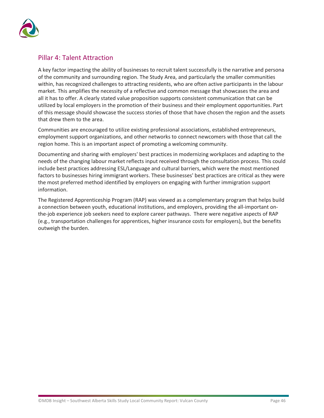

#### Pillar 4: Talent Attraction

A key factor impacting the ability of businesses to recruit talent successfully is the narrative and persona of the community and surrounding region. The Study Area, and particularly the smaller communities within, has recognized challenges to attracting residents, who are often active participants in the labour market. This amplifies the necessity of a reflective and common message that showcases the area and all it has to offer. A clearly stated value proposition supports consistent communication that can be utilized by local employers in the promotion of their business and their employment opportunities. Part of this message should showcase the success stories of those that have chosen the region and the assets that drew them to the area.

Communities are encouraged to utilize existing professional associations, established entrepreneurs, employment support organizations, and other networks to connect newcomers with those that call the region home. This is an important aspect of promoting a welcoming community.

Documenting and sharing with employers' best practices in modernizing workplaces and adapting to the needs of the changing labour market reflects input received through the consultation process. This could include best practices addressing ESL/Language and cultural barriers, which were the most mentioned factors to businesses hiring immigrant workers. These businesses' best practices are critical as they were the most preferred method identified by employers on engaging with further immigration support information.

The Registered Apprenticeship Program (RAP) was viewed as a complementary program that helps build a connection between youth, educational institutions, and employers, providing the all-important onthe-job experience job seekers need to explore career pathways. There were negative aspects of RAP (e.g., transportation challenges for apprentices, higher insurance costs for employers), but the benefits outweigh the burden.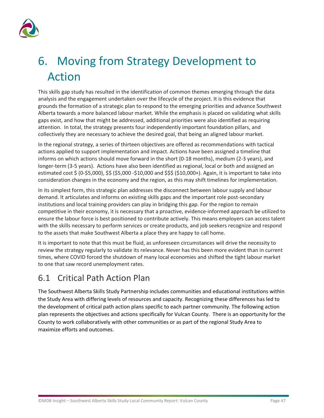

# <span id="page-50-0"></span>6. Moving from Strategy Development to Action

This skills gap study has resulted in the identification of common themes emerging through the data analysis and the engagement undertaken over the lifecycle of the project. It is this evidence that grounds the formation of a strategic plan to respond to the emerging priorities and advance Southwest Alberta towards a more balanced labour market. While the emphasis is placed on validating what skills gaps exist, and how that might be addressed, additional priorities were also identified as requiring attention. In total, the strategy presents four independently important foundation pillars, and collectively they are necessary to achieve the desired goal, that being an aligned labour market.

In the regional strategy, a series of thirteen objectives are offered as recommendations with tactical actions applied to support implementation and impact. Actions have been assigned a timeline that informs on which actions should move forward in the short (0-18 months), medium (2-3 years), and longer-term (3-5 years). Actions have also been identified as regional, local or both and assigned an estimated cost \$ (0-\$5,000), \$\$ (\$5,000 -\$10,000 and \$\$\$ (\$10,000+). Again, it is important to take into consideration changes in the economy and the region, as this may shift timelines for implementation.

In its simplest form, this strategic plan addresses the disconnect between labour supply and labour demand. It articulates and informs on existing skills gaps and the important role post-secondary institutions and local training providers can play in bridging this gap. For the region to remain competitive in their economy, it is necessary that a proactive, evidence-informed approach be utilized to ensure the labour force is best positioned to contribute actively. This means employers can access talent with the skills necessary to perform services or create products, and job seekers recognize and respond to the assets that make Southwest Alberta a place they are happy to call home.

It is important to note that this must be fluid, as unforeseen circumstances will drive the necessity to review the strategy regularly to validate its relevance. Never has this been more evident than in current times, where COVID forced the shutdown of many local economies and shifted the tight labour market to one that saw record unemployment rates.

### <span id="page-50-1"></span>6.1 Critical Path Action Plan

The Southwest Alberta Skills Study Partnership includes communities and educational institutions within the Study Area with differing levels of resources and capacity. Recognizing these differences has led to the development of critical path action plans specific to each partner community. The following action plan represents the objectives and actions specifically for Vulcan County. There is an opportunity for the County to work collaboratively with other communities or as part of the regional Study Area to maximize efforts and outcomes.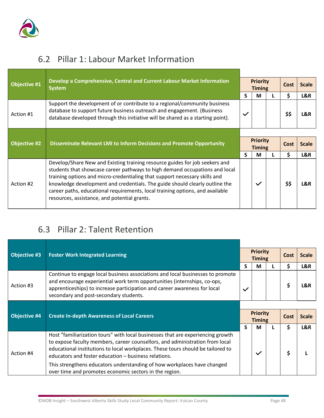

### <span id="page-51-0"></span>6.2 Pillar 1: Labour Market Information

| Objective #1        | Develop a Comprehensive, Central and Current Labour Market Information<br><b>System</b>                                                                                                                                                | <b>Priority</b><br><b>Timing</b> |                 |      | Cost | <b>Scale</b> |
|---------------------|----------------------------------------------------------------------------------------------------------------------------------------------------------------------------------------------------------------------------------------|----------------------------------|-----------------|------|------|--------------|
|                     |                                                                                                                                                                                                                                        | S                                | M               |      | \$   | L&R          |
| Action #1           | Support the development of or contribute to a regional/community business<br>database to support future business outreach and engagement. (Business<br>database developed through this initiative will be shared as a starting point). | $\checkmark$                     |                 |      | \$\$ | L&R          |
| <b>Objective #2</b> |                                                                                                                                                                                                                                        |                                  | <b>Priority</b> |      |      | <b>Scale</b> |
|                     | Disseminate Relevant LMI to Inform Decisions and Promote Opportunity                                                                                                                                                                   | <b>Timing</b>                    |                 | Cost |      |              |
|                     |                                                                                                                                                                                                                                        | S                                | M               |      | \$   | L&R          |
|                     | Develop/Share New and Existing training resource guides for job seekers and<br>students that showcase career pathways to high demand occupations and local                                                                             |                                  |                 |      |      |              |

### <span id="page-51-1"></span>6.3 Pillar 2: Talent Retention

| <b>Objective #3</b> | <b>Foster Work Integrated Learning</b>                                                                                                                                                                                                                                                                                                                                                |              | <b>Priority</b><br><b>Timing</b> |  | Cost | <b>Scale</b> |
|---------------------|---------------------------------------------------------------------------------------------------------------------------------------------------------------------------------------------------------------------------------------------------------------------------------------------------------------------------------------------------------------------------------------|--------------|----------------------------------|--|------|--------------|
|                     |                                                                                                                                                                                                                                                                                                                                                                                       | S            | м                                |  | \$   | L&R          |
| Action #3           | Continue to engage local business associations and local businesses to promote<br>and encourage experiential work term opportunities (internships, co-ops,<br>apprenticeships) to increase participation and career awareness for local<br>secondary and post-secondary students.                                                                                                     | $\checkmark$ |                                  |  | \$   | L&R          |
|                     |                                                                                                                                                                                                                                                                                                                                                                                       |              |                                  |  |      |              |
|                     | <b>Create In-depth Awareness of Local Careers</b>                                                                                                                                                                                                                                                                                                                                     |              | <b>Priority</b><br><b>Timing</b> |  |      |              |
| <b>Objective #4</b> |                                                                                                                                                                                                                                                                                                                                                                                       |              |                                  |  | Cost | <b>Scale</b> |
|                     |                                                                                                                                                                                                                                                                                                                                                                                       | S            | М                                |  | \$   | L&R          |
| Action #4           | Host "familiarization tours" with local businesses that are experiencing growth<br>to expose faculty members, career counsellors, and administration from local<br>educational institutions to local workplaces. These tours should be tailored to<br>educators and foster education - business relations.<br>This strengthens educators understanding of how workplaces have changed |              | $\checkmark$                     |  | \$   |              |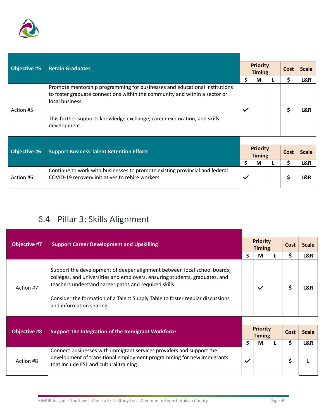

| <b>Retain Graduates</b><br><b>Objective #5</b> |                                                                                                                                                                                                                                                                         | <b>Priority</b><br><b>Timing</b> |   | Cost |      | <b>Scale</b> |
|------------------------------------------------|-------------------------------------------------------------------------------------------------------------------------------------------------------------------------------------------------------------------------------------------------------------------------|----------------------------------|---|------|------|--------------|
|                                                |                                                                                                                                                                                                                                                                         | S                                | M |      | \$   | L&R          |
| Action #5                                      | Promote mentorship programming for businesses and educational institutions<br>to foster graduate connections within the community and within a sector or<br>local business.<br>This further supports knowledge exchange, career exploration, and skills<br>development. | $\checkmark$                     |   |      | \$   | L&R          |
|                                                |                                                                                                                                                                                                                                                                         |                                  |   |      |      |              |
| <b>Objective #6</b>                            | <b>Support Business Talent Retention Efforts</b>                                                                                                                                                                                                                        | <b>Priority</b><br><b>Timing</b> |   |      | Cost | <b>Scale</b> |
|                                                |                                                                                                                                                                                                                                                                         | S                                | M |      | \$   | L&R          |
| Action #6                                      | Continue to work with businesses to promote existing provincial and federal<br>COVID-19 recovery initiatives to rehire workers.                                                                                                                                         | $\checkmark$                     |   |      | \$   | L&R          |

## <span id="page-52-0"></span>6.4 Pillar 3: Skills Alignment

| <b>Objective #7</b> | <b>Support Career Development and Upskilling</b>                                                                                                                                                                                                                                                                              |                                  | <b>Priority</b><br><b>Timing</b> |  | <b>Cost</b> | <b>Scale</b> |
|---------------------|-------------------------------------------------------------------------------------------------------------------------------------------------------------------------------------------------------------------------------------------------------------------------------------------------------------------------------|----------------------------------|----------------------------------|--|-------------|--------------|
|                     |                                                                                                                                                                                                                                                                                                                               | S.                               | M                                |  | \$          | L&R          |
| Action #7           | Support the development of deeper alignment between local school boards,<br>colleges, and universities and employers, ensuring students, graduates, and<br>teachers understand career paths and required skills.<br>Consider the formation of a Talent Supply Table to foster regular discussions<br>and information sharing. |                                  | $\checkmark$                     |  | \$          | L&R          |
|                     |                                                                                                                                                                                                                                                                                                                               |                                  |                                  |  |             |              |
| <b>Objective #8</b> | Support the Integration of the Immigrant Workforce                                                                                                                                                                                                                                                                            | <b>Priority</b><br><b>Timing</b> |                                  |  | <b>Cost</b> | <b>Scale</b> |
|                     |                                                                                                                                                                                                                                                                                                                               | S.                               | M                                |  | Ś.          | L&R          |
| Action #8           | Connect businesses with immigrant services providers and support the<br>development of transitional employment programming for new immigrants<br>that include ESL and cultural training.                                                                                                                                      | $\checkmark$                     |                                  |  | \$          |              |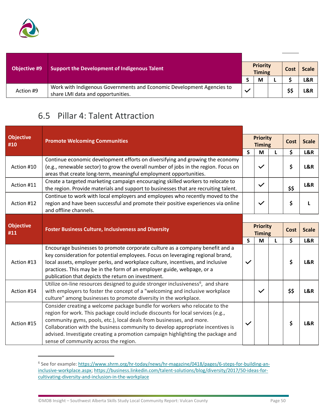

| <b>Objective #9</b> | <b>Support the Development of Indigenous Talent</b>                                                        |  | <b>Priority</b><br><b>Timing</b> |  |      | <b>Scale</b> |
|---------------------|------------------------------------------------------------------------------------------------------------|--|----------------------------------|--|------|--------------|
|                     |                                                                                                            |  | M                                |  |      | L&R          |
| Action #9           | Work with Indigenous Governments and Economic Development Agencies to<br>share LMI data and opportunities. |  |                                  |  | \$\$ | L&R          |

### <span id="page-53-0"></span>6.5 Pillar 4: Talent Attraction

| <b>Objective</b><br>#10 | <b>Promote Welcoming Communities</b>                                                                                                                                                                                                                                                                                                                                                                                                                |                                  |              | <b>Priority</b><br><b>Timing</b> |             | <b>Scale</b> |
|-------------------------|-----------------------------------------------------------------------------------------------------------------------------------------------------------------------------------------------------------------------------------------------------------------------------------------------------------------------------------------------------------------------------------------------------------------------------------------------------|----------------------------------|--------------|----------------------------------|-------------|--------------|
|                         |                                                                                                                                                                                                                                                                                                                                                                                                                                                     | $\mathsf{S}$                     | M            | L                                | \$          | L&R          |
| Action #10              | Continue economic development efforts on diversifying and growing the economy<br>(e.g., renewable sector) to grow the overall number of jobs in the region. Focus on<br>areas that create long-term, meaningful employment opportunities.                                                                                                                                                                                                           |                                  | $\checkmark$ |                                  | \$          | L&R          |
| Action #11              | Create a targeted marketing campaign encouraging skilled workers to relocate to<br>the region. Provide materials and support to businesses that are recruiting talent.                                                                                                                                                                                                                                                                              |                                  | $\checkmark$ |                                  | \$\$        | L&R          |
| Action #12              | Continue to work with local employers and employees who recently moved to the<br>region and have been successful and promote their positive experiences via online<br>and offline channels.                                                                                                                                                                                                                                                         |                                  | $\checkmark$ |                                  | \$          |              |
|                         | <b>Foster Business Culture, Inclusiveness and Diversity</b>                                                                                                                                                                                                                                                                                                                                                                                         |                                  |              |                                  |             |              |
| <b>Objective</b><br>#11 |                                                                                                                                                                                                                                                                                                                                                                                                                                                     | <b>Priority</b><br><b>Timing</b> |              |                                  | <b>Cost</b> | <b>Scale</b> |
|                         |                                                                                                                                                                                                                                                                                                                                                                                                                                                     | $\mathsf{S}$                     | M            | L                                | \$          | L&R          |
| Action #13              | Encourage businesses to promote corporate culture as a company benefit and a<br>key consideration for potential employees. Focus on leveraging regional brand,<br>local assets, employer perks, and workplace culture, incentives, and inclusive<br>practices. This may be in the form of an employer guide, webpage, or a<br>publication that depicts the return on investment.                                                                    | $\checkmark$                     |              |                                  | \$          | L&R          |
| Action #14              | Utilize on-line resources designed to guide stronger inclusiveness <sup>6</sup> , and share<br>with employers to foster the concept of a "welcoming and inclusive workplace<br>culture" among businesses to promote diversity in the workplace.                                                                                                                                                                                                     |                                  | $\checkmark$ |                                  | \$\$        | L&R          |
| Action #15              | Consider creating a welcome package bundle for workers who relocate to the<br>region for work. This package could include discounts for local services (e.g.,<br>community gyms, pools, etc.), local deals from businesses, and more.<br>Collaboration with the business community to develop appropriate incentives is<br>advised. Investigate creating a promotion campaign highlighting the package and<br>sense of community across the region. | $\checkmark$                     |              |                                  | \$          | L&R          |

<span id="page-53-1"></span><sup>&</sup>lt;sup>6</sup> See for example: [https://www.shrm.org/hr-today/news/hr-magazine/0418/pages/6-steps-for-building-an](https://www.shrm.org/hr-today/news/hr-magazine/0418/pages/6-steps-for-building-an-inclusive-workplace.aspx)[inclusive-workplace.aspx;](https://www.shrm.org/hr-today/news/hr-magazine/0418/pages/6-steps-for-building-an-inclusive-workplace.aspx) [https://business.linkedin.com/talent-solutions/blog/diversity/2017/50-ideas-for](https://business.linkedin.com/talent-solutions/blog/diversity/2017/50-ideas-for-cultivating-diversity-and-inclusion-in-the-workplace)[cultivating-diversity-and-inclusion-in-the-workplace](https://business.linkedin.com/talent-solutions/blog/diversity/2017/50-ideas-for-cultivating-diversity-and-inclusion-in-the-workplace)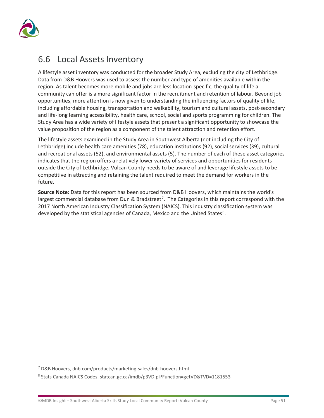

### <span id="page-54-0"></span>6.6 Local Assets Inventory

A lifestyle asset inventory was conducted for the broader Study Area, excluding the city of Lethbridge. Data from D&B Hoovers was used to assess the number and type of amenities available within the region. As talent becomes more mobile and jobs are less location-specific, the quality of life a community can offer is a more significant factor in the recruitment and retention of labour. Beyond job opportunities, more attention is now given to understanding the influencing factors of quality of life, including affordable housing, transportation and walkability, tourism and cultural assets, post-secondary and life-long learning accessibility, health care, school, social and sports programming for children. The Study Area has a wide variety of lifestyle assets that present a significant opportunity to showcase the value proposition of the region as a component of the talent attraction and retention effort.

The lifestyle assets examined in the Study Area in Southwest Alberta (not including the City of Lethbridge) include health care amenities (78), education institutions (92), social services (39), cultural and recreational assets (52), and environmental assets (5). The number of each of these asset categories indicates that the region offers a relatively lower variety of services and opportunities for residents outside the City of Lethbridge. Vulcan County needs to be aware of and leverage lifestyle assets to be competitive in attracting and retaining the talent required to meet the demand for workers in the future.

**Source Note:** Data for this report has been sourced from D&B Hoovers, which maintains the world's largest commercial database from Dun & Bradstreet<sup>[7](#page-54-1)</sup>. The Categories in this report correspond with the 2017 North American Industry Classification System (NAICS). This industry classification system was developed by the statistical agencies of Canada, Mexico and the United States<sup>[8](#page-54-2)</sup>.

<span id="page-54-1"></span><sup>7</sup> D&B Hoovers, dnb.com/products/marketing-sales/dnb-hoovers.html

<span id="page-54-2"></span><sup>8</sup> Stats Canada NAICS Codes, statcan.gc.ca/imdb/p3VD.pl?Function=getVD&TVD=1181553